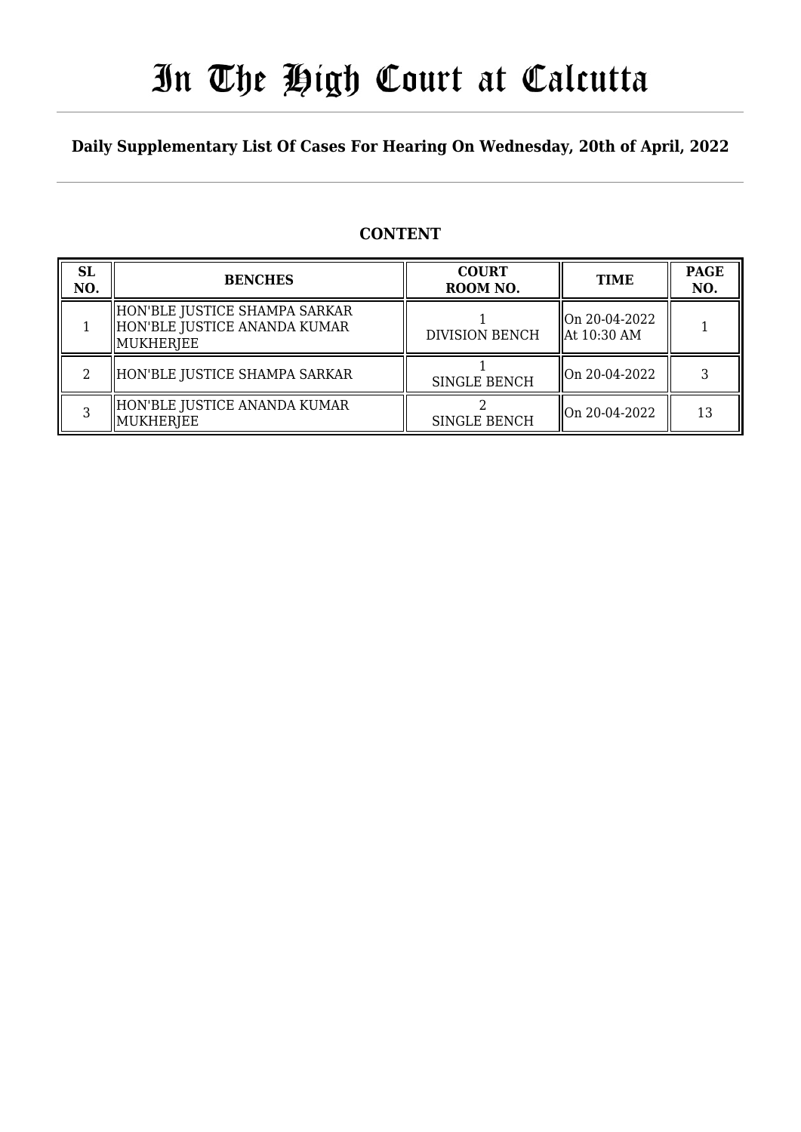# In The High Court at Calcutta

### **Daily Supplementary List Of Cases For Hearing On Wednesday, 20th of April, 2022**

### **CONTENT**

| <b>SL</b><br>NO. | <b>BENCHES</b>                                                               | <b>COURT</b><br>ROOM NO. | <b>TIME</b>                              | <b>PAGE</b><br>NO. |
|------------------|------------------------------------------------------------------------------|--------------------------|------------------------------------------|--------------------|
|                  | HON'BLE JUSTICE SHAMPA SARKAR<br>HON'BLE JUSTICE ANANDA KUMAR<br>  MUKHERJEE | <b>DIVISION BENCH</b>    | On 20-04-2022<br>$\parallel$ At 10:30 AM |                    |
|                  | HON'BLE JUSTICE SHAMPA SARKAR                                                | <b>SINGLE BENCH</b>      | $\parallel$ On 20-04-2022                |                    |
|                  | HON'BLE JUSTICE ANANDA KUMAR<br>MUKHERJEE                                    | <b>SINGLE BENCH</b>      | $\parallel$ On 20-04-2022                | 13                 |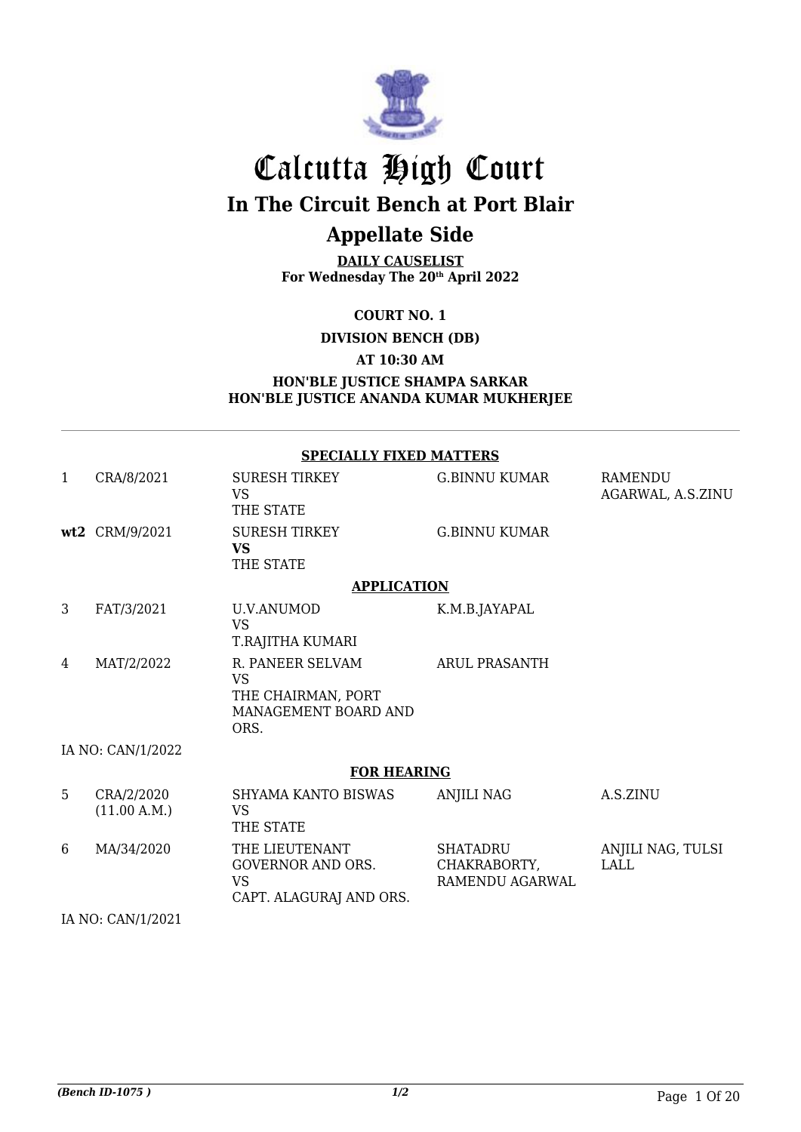

## Calcutta High Court **In The Circuit Bench at Port Blair Appellate Side**

**DAILY CAUSELIST**

**For Wednesday The 20th April 2022**

**COURT NO. 1**

**DIVISION BENCH (DB)**

**AT 10:30 AM**

#### **HON'BLE JUSTICE SHAMPA SARKAR HON'BLE JUSTICE ANANDA KUMAR MUKHERJEE**

|   |                            | <b>SPECIALLY FIXED MATTERS</b>                                                      |                                                    |                                     |
|---|----------------------------|-------------------------------------------------------------------------------------|----------------------------------------------------|-------------------------------------|
| 1 | CRA/8/2021                 | <b>SURESH TIRKEY</b><br>VS.<br>THE STATE                                            | <b>G.BINNU KUMAR</b>                               | <b>RAMENDU</b><br>AGARWAL, A.S.ZINU |
|   | wt2 CRM/9/2021             | <b>SURESH TIRKEY</b><br><b>VS</b><br>THE STATE                                      | <b>G.BINNU KUMAR</b>                               |                                     |
|   |                            | <b>APPLICATION</b>                                                                  |                                                    |                                     |
| 3 | FAT/3/2021                 | <b>U.V.ANUMOD</b><br><b>VS</b><br>T.RAJITHA KUMARI                                  | K.M.B.JAYAPAL                                      |                                     |
| 4 | MAT/2/2022                 | R. PANEER SELVAM<br><b>VS</b><br>THE CHAIRMAN, PORT<br>MANAGEMENT BOARD AND<br>ORS. | <b>ARUL PRASANTH</b>                               |                                     |
|   | IA NO: CAN/1/2022          |                                                                                     |                                                    |                                     |
|   |                            | <b>FOR HEARING</b>                                                                  |                                                    |                                     |
| 5 | CRA/2/2020<br>(11.00 A.M.) | SHYAMA KANTO BISWAS<br><b>VS</b><br>THE STATE                                       | <b>ANJILI NAG</b>                                  | A.S.ZINU                            |
| 6 | MA/34/2020                 | THE LIEUTENANT<br><b>GOVERNOR AND ORS.</b><br><b>VS</b><br>CAPT. ALAGURAJ AND ORS.  | <b>SHATADRU</b><br>CHAKRABORTY,<br>RAMENDU AGARWAL | ANJILI NAG, TULSI<br>LALL           |
|   | IA NO: CAN/1/2021          |                                                                                     |                                                    |                                     |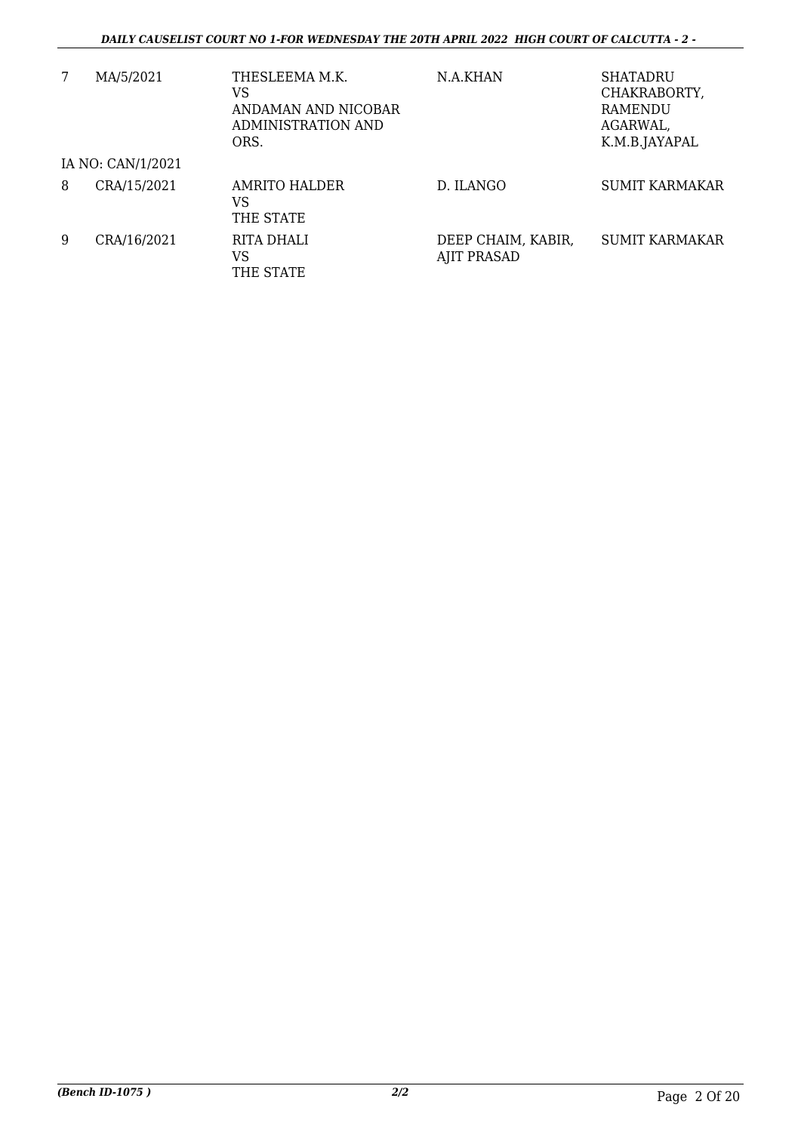| 7 | MA/5/2021         | THESLEEMA M.K.<br>VS<br>ANDAMAN AND NICOBAR<br>ADMINISTRATION AND<br>ORS. | N.A.KHAN                          | <b>SHATADRU</b><br>CHAKRABORTY,<br><b>RAMENDU</b><br>AGARWAL,<br>K.M.B.JAYAPAL |
|---|-------------------|---------------------------------------------------------------------------|-----------------------------------|--------------------------------------------------------------------------------|
|   | IA NO: CAN/1/2021 |                                                                           |                                   |                                                                                |
| 8 | CRA/15/2021       | AMRITO HALDER<br>VS<br>THE STATE                                          | D. ILANGO                         | <b>SUMIT KARMAKAR</b>                                                          |
| 9 | CRA/16/2021       | RITA DHALI<br>VS<br>THE STATE                                             | DEEP CHAIM, KABIR,<br>AJIT PRASAD | <b>SUMIT KARMAKAR</b>                                                          |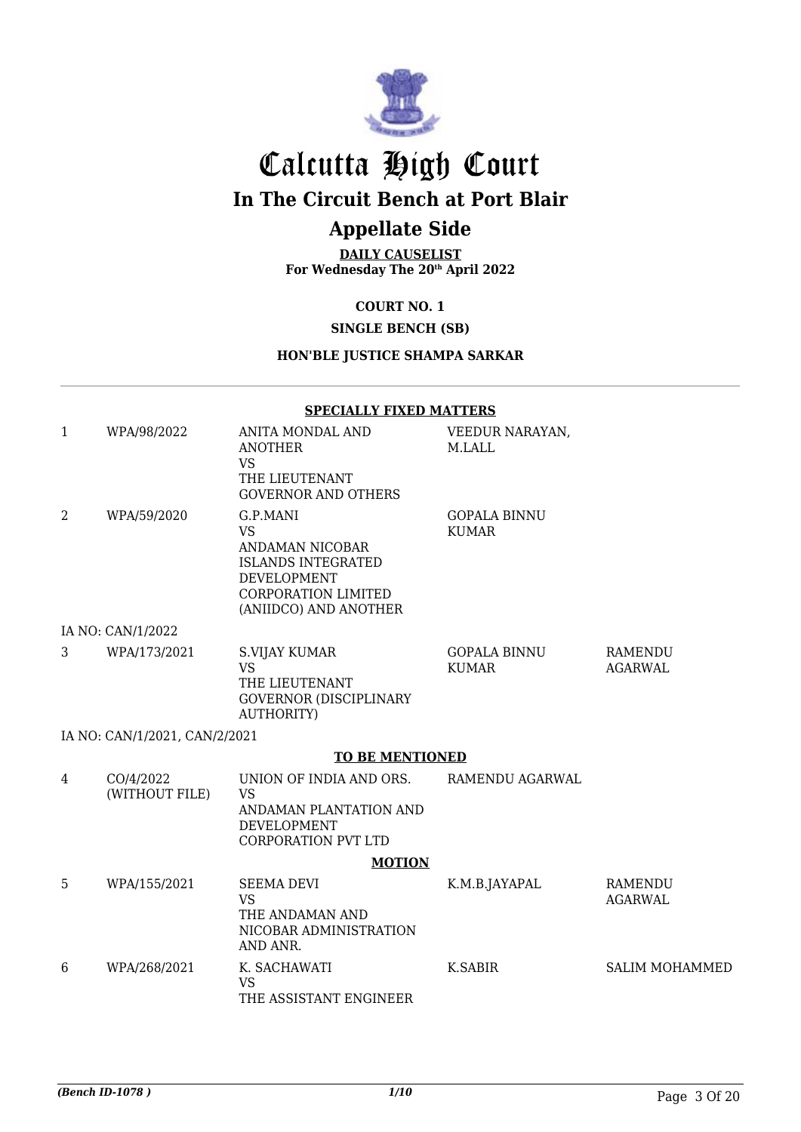

# Calcutta High Court

**In The Circuit Bench at Port Blair**

## **Appellate Side**

**DAILY CAUSELIST For Wednesday The 20th April 2022**

#### **COURT NO. 1**

#### **SINGLE BENCH (SB)**

#### **HON'BLE JUSTICE SHAMPA SARKAR**

|   |                               | <b>SPECIALLY FIXED MATTERS</b>                                                                                                              |                                     |                           |
|---|-------------------------------|---------------------------------------------------------------------------------------------------------------------------------------------|-------------------------------------|---------------------------|
| 1 | WPA/98/2022                   | ANITA MONDAL AND<br><b>ANOTHER</b><br><b>VS</b><br>THE LIEUTENANT<br><b>GOVERNOR AND OTHERS</b>                                             | VEEDUR NARAYAN,<br>M.LALL           |                           |
| 2 | WPA/59/2020                   | G.P.MANI<br><b>VS</b><br>ANDAMAN NICOBAR<br><b>ISLANDS INTEGRATED</b><br><b>DEVELOPMENT</b><br>CORPORATION LIMITED<br>(ANIIDCO) AND ANOTHER | <b>GOPALA BINNU</b><br><b>KUMAR</b> |                           |
|   | IA NO: CAN/1/2022             |                                                                                                                                             |                                     |                           |
| 3 | WPA/173/2021                  | <b>S.VIJAY KUMAR</b><br><b>VS</b><br>THE LIEUTENANT<br><b>GOVERNOR (DISCIPLINARY</b><br><b>AUTHORITY)</b>                                   | <b>GOPALA BINNU</b><br><b>KUMAR</b> | <b>RAMENDU</b><br>AGARWAL |
|   | IA NO: CAN/1/2021, CAN/2/2021 |                                                                                                                                             |                                     |                           |
|   |                               | <b>TO BE MENTIONED</b>                                                                                                                      |                                     |                           |
| 4 | CO/4/2022<br>(WITHOUT FILE)   | UNION OF INDIA AND ORS.<br><b>VS</b><br>ANDAMAN PLANTATION AND<br><b>DEVELOPMENT</b><br><b>CORPORATION PVT LTD</b>                          | RAMENDU AGARWAL                     |                           |
|   |                               | <b>MOTION</b>                                                                                                                               |                                     |                           |
| 5 | WPA/155/2021                  | <b>SEEMA DEVI</b><br><b>VS</b><br>THE ANDAMAN AND<br>NICOBAR ADMINISTRATION<br>AND ANR.                                                     | K.M.B.JAYAPAL                       | RAMENDU<br>AGARWAL        |
| 6 | WPA/268/2021                  | K. SACHAWATI<br><b>VS</b><br>THE ASSISTANT ENGINEER                                                                                         | K.SABIR                             | <b>SALIM MOHAMMED</b>     |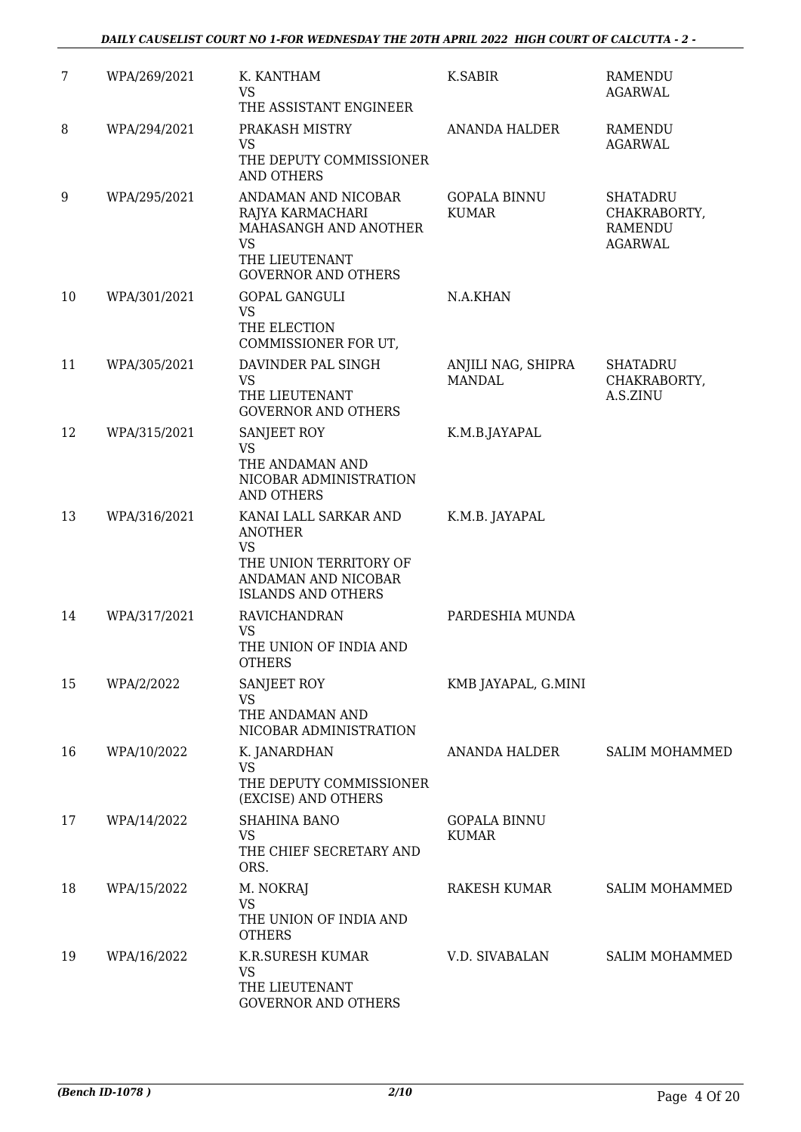| 7  | WPA/269/2021 | K. KANTHAM<br><b>VS</b><br>THE ASSISTANT ENGINEER                                                                                  | K.SABIR                             | <b>RAMENDU</b><br><b>AGARWAL</b>                                    |
|----|--------------|------------------------------------------------------------------------------------------------------------------------------------|-------------------------------------|---------------------------------------------------------------------|
| 8  | WPA/294/2021 | PRAKASH MISTRY<br>VS<br>THE DEPUTY COMMISSIONER<br><b>AND OTHERS</b>                                                               | <b>ANANDA HALDER</b>                | RAMENDU<br><b>AGARWAL</b>                                           |
| 9  | WPA/295/2021 | ANDAMAN AND NICOBAR<br>RAJYA KARMACHARI<br>MAHASANGH AND ANOTHER<br><b>VS</b><br>THE LIEUTENANT<br><b>GOVERNOR AND OTHERS</b>      | <b>GOPALA BINNU</b><br><b>KUMAR</b> | <b>SHATADRU</b><br>CHAKRABORTY,<br><b>RAMENDU</b><br><b>AGARWAL</b> |
| 10 | WPA/301/2021 | <b>GOPAL GANGULI</b><br><b>VS</b><br>THE ELECTION<br>COMMISSIONER FOR UT,                                                          | N.A.KHAN                            |                                                                     |
| 11 | WPA/305/2021 | DAVINDER PAL SINGH<br><b>VS</b><br>THE LIEUTENANT<br><b>GOVERNOR AND OTHERS</b>                                                    | ANJILI NAG, SHIPRA<br><b>MANDAL</b> | <b>SHATADRU</b><br>CHAKRABORTY,<br>A.S.ZINU                         |
| 12 | WPA/315/2021 | SANJEET ROY<br><b>VS</b><br>THE ANDAMAN AND<br>NICOBAR ADMINISTRATION<br><b>AND OTHERS</b>                                         | K.M.B.JAYAPAL                       |                                                                     |
| 13 | WPA/316/2021 | KANAI LALL SARKAR AND<br><b>ANOTHER</b><br><b>VS</b><br>THE UNION TERRITORY OF<br>ANDAMAN AND NICOBAR<br><b>ISLANDS AND OTHERS</b> | K.M.B. JAYAPAL                      |                                                                     |
| 14 | WPA/317/2021 | RAVICHANDRAN<br><b>VS</b><br>THE UNION OF INDIA AND<br><b>OTHERS</b>                                                               | PARDESHIA MUNDA                     |                                                                     |
| 15 | WPA/2/2022   | SANJEET ROY<br><b>VS</b><br>THE ANDAMAN AND<br>NICOBAR ADMINISTRATION                                                              | KMB JAYAPAL, G.MINI                 |                                                                     |
| 16 | WPA/10/2022  | K. JANARDHAN<br><b>VS</b><br>THE DEPUTY COMMISSIONER<br>(EXCISE) AND OTHERS                                                        | ANANDA HALDER                       | <b>SALIM MOHAMMED</b>                                               |
| 17 | WPA/14/2022  | <b>SHAHINA BANO</b><br><b>VS</b><br>THE CHIEF SECRETARY AND<br>ORS.                                                                | <b>GOPALA BINNU</b><br><b>KUMAR</b> |                                                                     |
| 18 | WPA/15/2022  | M. NOKRAJ<br><b>VS</b><br>THE UNION OF INDIA AND<br><b>OTHERS</b>                                                                  | RAKESH KUMAR                        | <b>SALIM MOHAMMED</b>                                               |
| 19 | WPA/16/2022  | K.R.SURESH KUMAR<br><b>VS</b><br>THE LIEUTENANT<br><b>GOVERNOR AND OTHERS</b>                                                      | V.D. SIVABALAN                      | <b>SALIM MOHAMMED</b>                                               |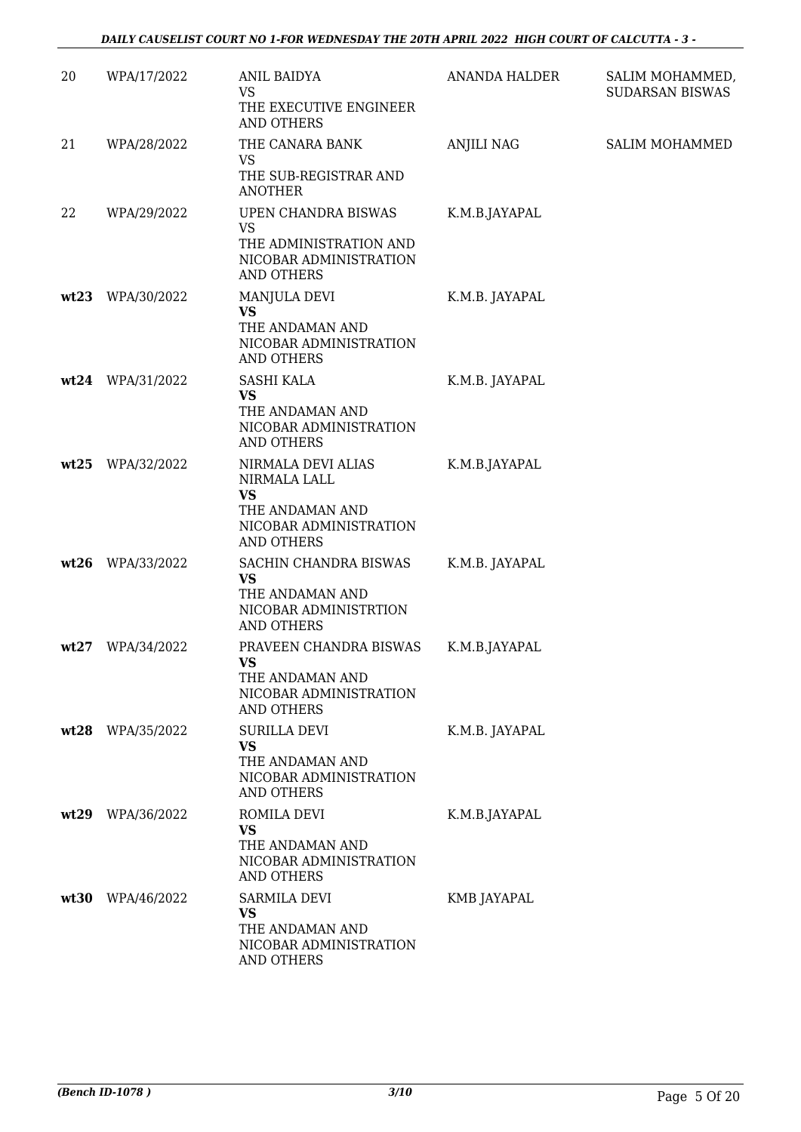| 20   | WPA/17/2022      | <b>ANIL BAIDYA</b><br><b>VS</b><br>THE EXECUTIVE ENGINEER<br>AND OTHERS                                    | <b>ANANDA HALDER</b> | SALIM MOHAMMED,<br><b>SUDARSAN BISWAS</b> |
|------|------------------|------------------------------------------------------------------------------------------------------------|----------------------|-------------------------------------------|
| 21   | WPA/28/2022      | THE CANARA BANK<br>VS.<br>THE SUB-REGISTRAR AND<br><b>ANOTHER</b>                                          | <b>ANJILI NAG</b>    | SALIM MOHAMMED                            |
| 22   | WPA/29/2022      | UPEN CHANDRA BISWAS<br><b>VS</b><br>THE ADMINISTRATION AND<br>NICOBAR ADMINISTRATION<br>AND OTHERS         | K.M.B.JAYAPAL        |                                           |
| wt23 | WPA/30/2022      | MANJULA DEVI<br><b>VS</b><br>THE ANDAMAN AND<br>NICOBAR ADMINISTRATION<br><b>AND OTHERS</b>                | K.M.B. JAYAPAL       |                                           |
|      | wt24 WPA/31/2022 | <b>SASHI KALA</b><br><b>VS</b><br>THE ANDAMAN AND<br>NICOBAR ADMINISTRATION<br><b>AND OTHERS</b>           | K.M.B. JAYAPAL       |                                           |
| wt25 | WPA/32/2022      | NIRMALA DEVI ALIAS<br>NIRMALA LALL<br><b>VS</b><br>THE ANDAMAN AND<br>NICOBAR ADMINISTRATION<br>AND OTHERS | K.M.B.JAYAPAL        |                                           |
| wt26 | WPA/33/2022      | SACHIN CHANDRA BISWAS<br><b>VS</b><br>THE ANDAMAN AND<br>NICOBAR ADMINISTRTION<br><b>AND OTHERS</b>        | K.M.B. JAYAPAL       |                                           |
| wt27 | WPA/34/2022      | PRAVEEN CHANDRA BISWAS<br>VS.<br>THE ANDAMAN AND<br>NICOBAR ADMINISTRATION<br><b>AND OTHERS</b>            | K.M.B.JAYAPAL        |                                           |
| wt28 | WPA/35/2022      | <b>SURILLA DEVI</b><br><b>VS</b><br>THE ANDAMAN AND<br>NICOBAR ADMINISTRATION<br>AND OTHERS                | K.M.B. JAYAPAL       |                                           |
| wt29 | WPA/36/2022      | ROMILA DEVI<br>VS<br>THE ANDAMAN AND<br>NICOBAR ADMINISTRATION<br><b>AND OTHERS</b>                        | K.M.B.JAYAPAL        |                                           |
| wt30 | WPA/46/2022      | <b>SARMILA DEVI</b><br><b>VS</b><br>THE ANDAMAN AND<br>NICOBAR ADMINISTRATION<br>AND OTHERS                | KMB JAYAPAL          |                                           |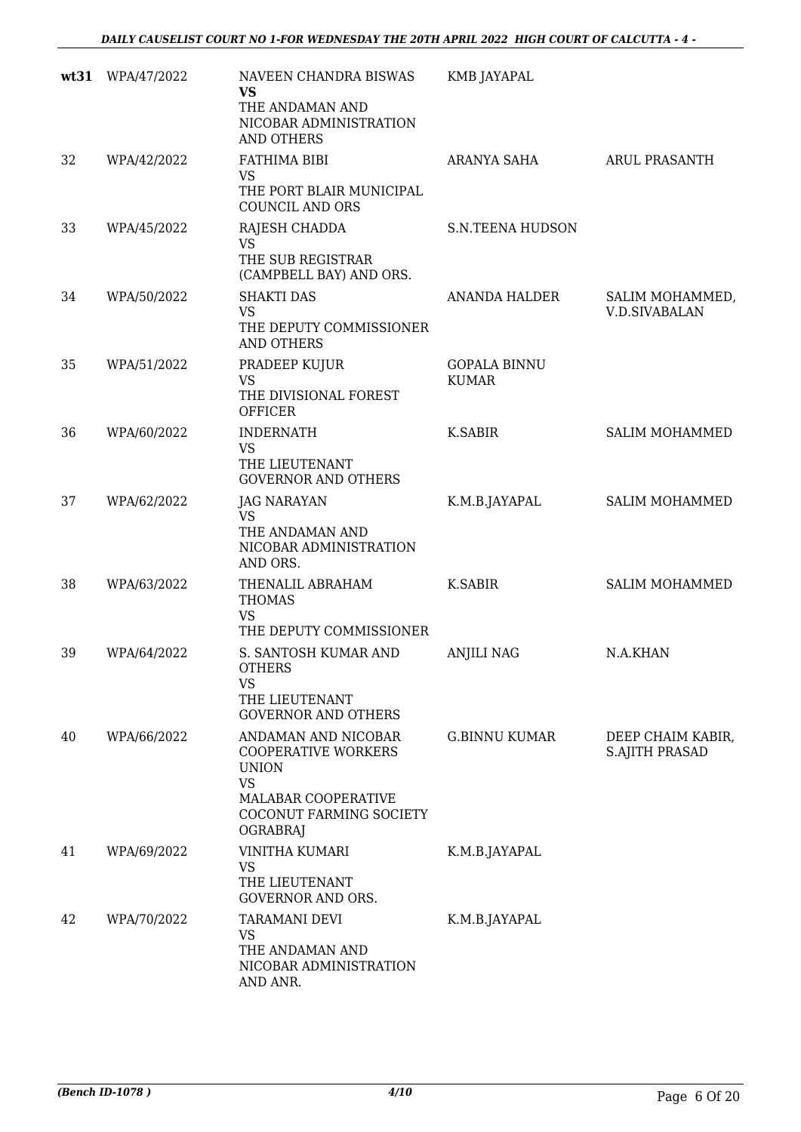|    | wt31 WPA/47/2022 | NAVEEN CHANDRA BISWAS<br><b>VS</b><br>THE ANDAMAN AND<br>NICOBAR ADMINISTRATION<br><b>AND OTHERS</b>                                                | <b>KMB JAYAPAL</b>                  |                                            |
|----|------------------|-----------------------------------------------------------------------------------------------------------------------------------------------------|-------------------------------------|--------------------------------------------|
| 32 | WPA/42/2022      | FATHIMA BIBI<br><b>VS</b><br>THE PORT BLAIR MUNICIPAL<br><b>COUNCIL AND ORS</b>                                                                     | ARANYA SAHA                         | <b>ARUL PRASANTH</b>                       |
| 33 | WPA/45/2022      | RAJESH CHADDA<br><b>VS</b><br>THE SUB REGISTRAR<br>(CAMPBELL BAY) AND ORS.                                                                          | <b>S.N.TEENA HUDSON</b>             |                                            |
| 34 | WPA/50/2022      | <b>SHAKTI DAS</b><br><b>VS</b><br>THE DEPUTY COMMISSIONER<br><b>AND OTHERS</b>                                                                      | ANANDA HALDER                       | SALIM MOHAMMED,<br><b>V.D.SIVABALAN</b>    |
| 35 | WPA/51/2022      | PRADEEP KUJUR<br><b>VS</b><br>THE DIVISIONAL FOREST<br><b>OFFICER</b>                                                                               | <b>GOPALA BINNU</b><br><b>KUMAR</b> |                                            |
| 36 | WPA/60/2022      | <b>INDERNATH</b><br><b>VS</b><br>THE LIEUTENANT<br><b>GOVERNOR AND OTHERS</b>                                                                       | K.SABIR                             | <b>SALIM MOHAMMED</b>                      |
| 37 | WPA/62/2022      | <b>JAG NARAYAN</b><br><b>VS</b><br>THE ANDAMAN AND<br>NICOBAR ADMINISTRATION<br>AND ORS.                                                            | K.M.B.JAYAPAL                       | <b>SALIM MOHAMMED</b>                      |
| 38 | WPA/63/2022      | THENALIL ABRAHAM<br><b>THOMAS</b><br><b>VS</b><br>THE DEPUTY COMMISSIONER                                                                           | <b>K.SABIR</b>                      | <b>SALIM MOHAMMED</b>                      |
| 39 | WPA/64/2022      | S. SANTOSH KUMAR AND<br><b>OTHERS</b><br><b>VS</b><br>THE LIEUTENANT<br><b>GOVERNOR AND OTHERS</b>                                                  | <b>ANJILI NAG</b>                   | N.A.KHAN                                   |
| 40 | WPA/66/2022      | ANDAMAN AND NICOBAR<br><b>COOPERATIVE WORKERS</b><br><b>UNION</b><br><b>VS</b><br>MALABAR COOPERATIVE<br>COCONUT FARMING SOCIETY<br><b>OGRABRAJ</b> | <b>G.BINNU KUMAR</b>                | DEEP CHAIM KABIR,<br><b>S.AJITH PRASAD</b> |
| 41 | WPA/69/2022      | <b>VINITHA KUMARI</b><br>VS<br>THE LIEUTENANT<br><b>GOVERNOR AND ORS.</b>                                                                           | K.M.B.JAYAPAL                       |                                            |
| 42 | WPA/70/2022      | <b>TARAMANI DEVI</b><br><b>VS</b><br>THE ANDAMAN AND<br>NICOBAR ADMINISTRATION<br>AND ANR.                                                          | K.M.B.JAYAPAL                       |                                            |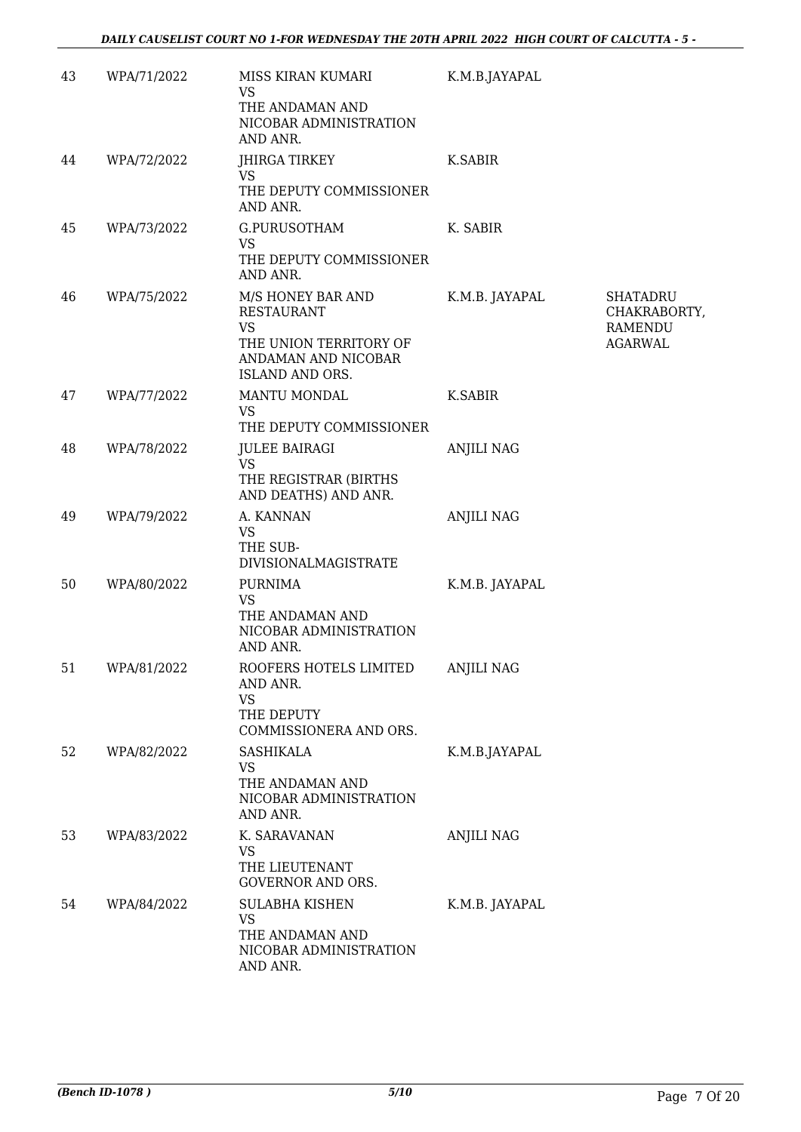| 43 | WPA/71/2022 | MISS KIRAN KUMARI<br>VS<br>THE ANDAMAN AND<br>NICOBAR ADMINISTRATION<br>AND ANR.                                        | K.M.B.JAYAPAL     |                                                                     |
|----|-------------|-------------------------------------------------------------------------------------------------------------------------|-------------------|---------------------------------------------------------------------|
| 44 | WPA/72/2022 | JHIRGA TIRKEY<br>VS                                                                                                     | K.SABIR           |                                                                     |
|    |             | THE DEPUTY COMMISSIONER<br>AND ANR.                                                                                     |                   |                                                                     |
| 45 | WPA/73/2022 | G.PURUSOTHAM<br><b>VS</b><br>THE DEPUTY COMMISSIONER<br>AND ANR.                                                        | K. SABIR          |                                                                     |
| 46 | WPA/75/2022 | M/S HONEY BAR AND<br><b>RESTAURANT</b><br><b>VS</b><br>THE UNION TERRITORY OF<br>ANDAMAN AND NICOBAR<br>ISLAND AND ORS. | K.M.B. JAYAPAL    | <b>SHATADRU</b><br>CHAKRABORTY,<br><b>RAMENDU</b><br><b>AGARWAL</b> |
| 47 | WPA/77/2022 | MANTU MONDAL<br><b>VS</b><br>THE DEPUTY COMMISSIONER                                                                    | K.SABIR           |                                                                     |
| 48 | WPA/78/2022 | <b>JULEE BAIRAGI</b><br>VS<br>THE REGISTRAR (BIRTHS<br>AND DEATHS) AND ANR.                                             | <b>ANJILI NAG</b> |                                                                     |
| 49 | WPA/79/2022 | A. KANNAN<br><b>VS</b><br>THE SUB-<br>DIVISIONALMAGISTRATE                                                              | <b>ANJILI NAG</b> |                                                                     |
| 50 | WPA/80/2022 | <b>PURNIMA</b><br><b>VS</b><br>THE ANDAMAN AND<br>NICOBAR ADMINISTRATION<br>AND ANR.                                    | K.M.B. JAYAPAL    |                                                                     |
| 51 | WPA/81/2022 | ROOFERS HOTELS LIMITED<br>AND ANR.<br><b>VS</b><br>THE DEPUTY<br>COMMISSIONERA AND ORS.                                 | <b>ANJILI NAG</b> |                                                                     |
| 52 | WPA/82/2022 | <b>SASHIKALA</b><br>VS<br>THE ANDAMAN AND<br>NICOBAR ADMINISTRATION<br>AND ANR.                                         | K.M.B.JAYAPAL     |                                                                     |
| 53 | WPA/83/2022 | K. SARAVANAN<br>VS<br>THE LIEUTENANT<br><b>GOVERNOR AND ORS.</b>                                                        | <b>ANJILI NAG</b> |                                                                     |
| 54 | WPA/84/2022 | <b>SULABHA KISHEN</b><br><b>VS</b><br>THE ANDAMAN AND<br>NICOBAR ADMINISTRATION<br>AND ANR.                             | K.M.B. JAYAPAL    |                                                                     |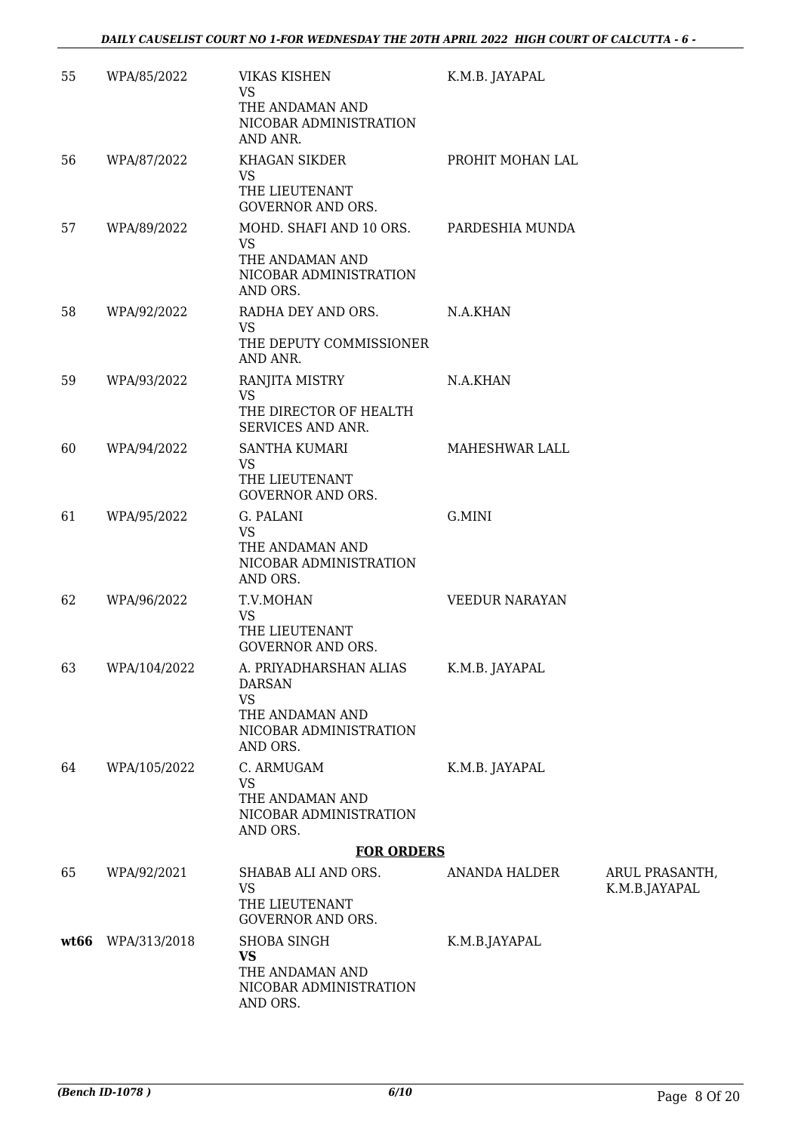| 55   | WPA/85/2022  | <b>VIKAS KISHEN</b><br><b>VS</b><br>THE ANDAMAN AND<br>NICOBAR ADMINISTRATION<br>AND ANR.                     | K.M.B. JAYAPAL        |                                |
|------|--------------|---------------------------------------------------------------------------------------------------------------|-----------------------|--------------------------------|
| 56   | WPA/87/2022  | <b>KHAGAN SIKDER</b><br>VS<br>THE LIEUTENANT<br><b>GOVERNOR AND ORS.</b>                                      | PROHIT MOHAN LAL      |                                |
| 57   | WPA/89/2022  | MOHD. SHAFI AND 10 ORS.<br>VS<br>THE ANDAMAN AND<br>NICOBAR ADMINISTRATION<br>AND ORS.                        | PARDESHIA MUNDA       |                                |
| 58   | WPA/92/2022  | RADHA DEY AND ORS.<br><b>VS</b><br>THE DEPUTY COMMISSIONER<br>AND ANR.                                        | N.A.KHAN              |                                |
| 59   | WPA/93/2022  | RANJITA MISTRY<br><b>VS</b><br>THE DIRECTOR OF HEALTH<br><b>SERVICES AND ANR.</b>                             | N.A.KHAN              |                                |
| 60   | WPA/94/2022  | <b>SANTHA KUMARI</b><br><b>VS</b><br>THE LIEUTENANT<br><b>GOVERNOR AND ORS.</b>                               | MAHESHWAR LALL        |                                |
| 61   | WPA/95/2022  | G. PALANI<br><b>VS</b><br>THE ANDAMAN AND<br>NICOBAR ADMINISTRATION<br>AND ORS.                               | G.MINI                |                                |
| 62   | WPA/96/2022  | T.V.MOHAN<br><b>VS</b><br>THE LIEUTENANT<br><b>GOVERNOR AND ORS.</b>                                          | <b>VEEDUR NARAYAN</b> |                                |
| 63   | WPA/104/2022 | A. PRIYADHARSHAN ALIAS<br><b>DARSAN</b><br><b>VS</b><br>THE ANDAMAN AND<br>NICOBAR ADMINISTRATION<br>AND ORS. | K.M.B. JAYAPAL        |                                |
| 64   | WPA/105/2022 | C. ARMUGAM<br><b>VS</b><br>THE ANDAMAN AND<br>NICOBAR ADMINISTRATION<br>AND ORS.                              | K.M.B. JAYAPAL        |                                |
|      |              | <b>FOR ORDERS</b>                                                                                             |                       |                                |
| 65   | WPA/92/2021  | SHABAB ALI AND ORS.<br>VS<br>THE LIEUTENANT<br><b>GOVERNOR AND ORS.</b>                                       | ANANDA HALDER         | ARUL PRASANTH<br>K.M.B.JAYAPAL |
| wt66 | WPA/313/2018 | SHOBA SINGH<br><b>VS</b><br>THE ANDAMAN AND<br>NICOBAR ADMINISTRATION<br>AND ORS.                             | K.M.B.JAYAPAL         |                                |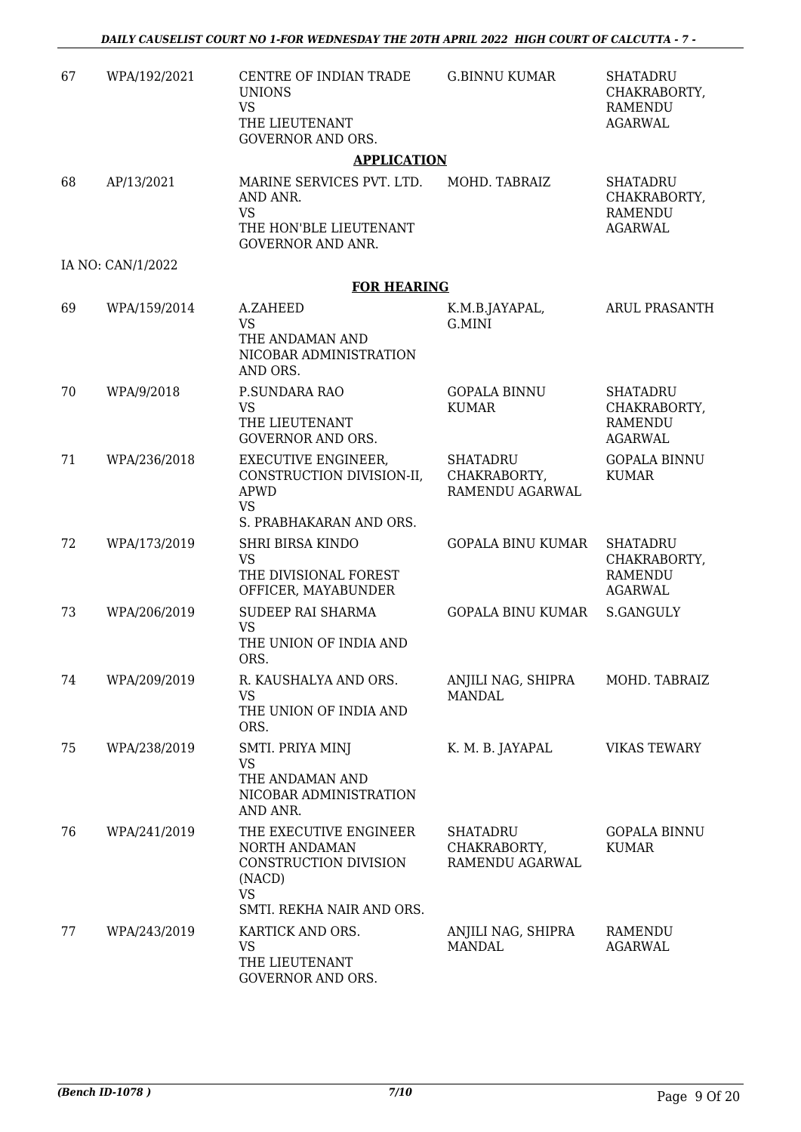| 67 | WPA/192/2021      | CENTRE OF INDIAN TRADE<br><b>UNIONS</b><br><b>VS</b><br>THE LIEUTENANT<br><b>GOVERNOR AND ORS.</b>                   | <b>G.BINNU KUMAR</b>                               | <b>SHATADRU</b><br>CHAKRABORTY,<br><b>RAMENDU</b><br><b>AGARWAL</b> |
|----|-------------------|----------------------------------------------------------------------------------------------------------------------|----------------------------------------------------|---------------------------------------------------------------------|
|    |                   | <b>APPLICATION</b>                                                                                                   |                                                    |                                                                     |
| 68 | AP/13/2021        | MARINE SERVICES PVT. LTD.<br>AND ANR.<br><b>VS</b><br>THE HON'BLE LIEUTENANT<br><b>GOVERNOR AND ANR.</b>             | MOHD. TABRAIZ                                      | <b>SHATADRU</b><br>CHAKRABORTY,<br><b>RAMENDU</b><br><b>AGARWAL</b> |
|    | IA NO: CAN/1/2022 |                                                                                                                      |                                                    |                                                                     |
|    |                   | <b>FOR HEARING</b>                                                                                                   |                                                    |                                                                     |
| 69 | WPA/159/2014      | A.ZAHEED<br><b>VS</b><br>THE ANDAMAN AND<br>NICOBAR ADMINISTRATION<br>AND ORS.                                       | K.M.B.JAYAPAL,<br>G.MINI                           | <b>ARUL PRASANTH</b>                                                |
| 70 | WPA/9/2018        | P.SUNDARA RAO<br><b>VS</b><br>THE LIEUTENANT<br><b>GOVERNOR AND ORS.</b>                                             | <b>GOPALA BINNU</b><br><b>KUMAR</b>                | <b>SHATADRU</b><br>CHAKRABORTY,<br><b>RAMENDU</b><br><b>AGARWAL</b> |
| 71 | WPA/236/2018      | <b>EXECUTIVE ENGINEER,</b><br>CONSTRUCTION DIVISION-II,<br><b>APWD</b><br><b>VS</b><br>S. PRABHAKARAN AND ORS.       | <b>SHATADRU</b><br>CHAKRABORTY,<br>RAMENDU AGARWAL | <b>GOPALA BINNU</b><br><b>KUMAR</b>                                 |
| 72 | WPA/173/2019      | <b>SHRI BIRSA KINDO</b><br><b>VS</b><br>THE DIVISIONAL FOREST<br>OFFICER, MAYABUNDER                                 | <b>GOPALA BINU KUMAR</b>                           | <b>SHATADRU</b><br>CHAKRABORTY,<br><b>RAMENDU</b><br><b>AGARWAL</b> |
| 73 | WPA/206/2019      | SUDEEP RAI SHARMA<br><b>VS</b><br>THE UNION OF INDIA AND<br>ORS.                                                     | <b>GOPALA BINU KUMAR</b>                           | <b>S.GANGULY</b>                                                    |
| 74 | WPA/209/2019      | R. KAUSHALYA AND ORS.<br>VS<br>THE UNION OF INDIA AND<br>ORS.                                                        | ANJILI NAG, SHIPRA<br><b>MANDAL</b>                | MOHD. TABRAIZ                                                       |
| 75 | WPA/238/2019      | SMTI. PRIYA MINJ<br><b>VS</b><br>THE ANDAMAN AND<br>NICOBAR ADMINISTRATION<br>AND ANR.                               | K. M. B. JAYAPAL                                   | <b>VIKAS TEWARY</b>                                                 |
| 76 | WPA/241/2019      | THE EXECUTIVE ENGINEER<br>NORTH ANDAMAN<br>CONSTRUCTION DIVISION<br>(NACD)<br><b>VS</b><br>SMTI. REKHA NAIR AND ORS. | SHATADRU<br>CHAKRABORTY,<br>RAMENDU AGARWAL        | <b>GOPALA BINNU</b><br><b>KUMAR</b>                                 |
| 77 | WPA/243/2019      | KARTICK AND ORS.<br><b>VS</b><br>THE LIEUTENANT<br>GOVERNOR AND ORS.                                                 | ANJILI NAG, SHIPRA<br><b>MANDAL</b>                | RAMENDU<br><b>AGARWAL</b>                                           |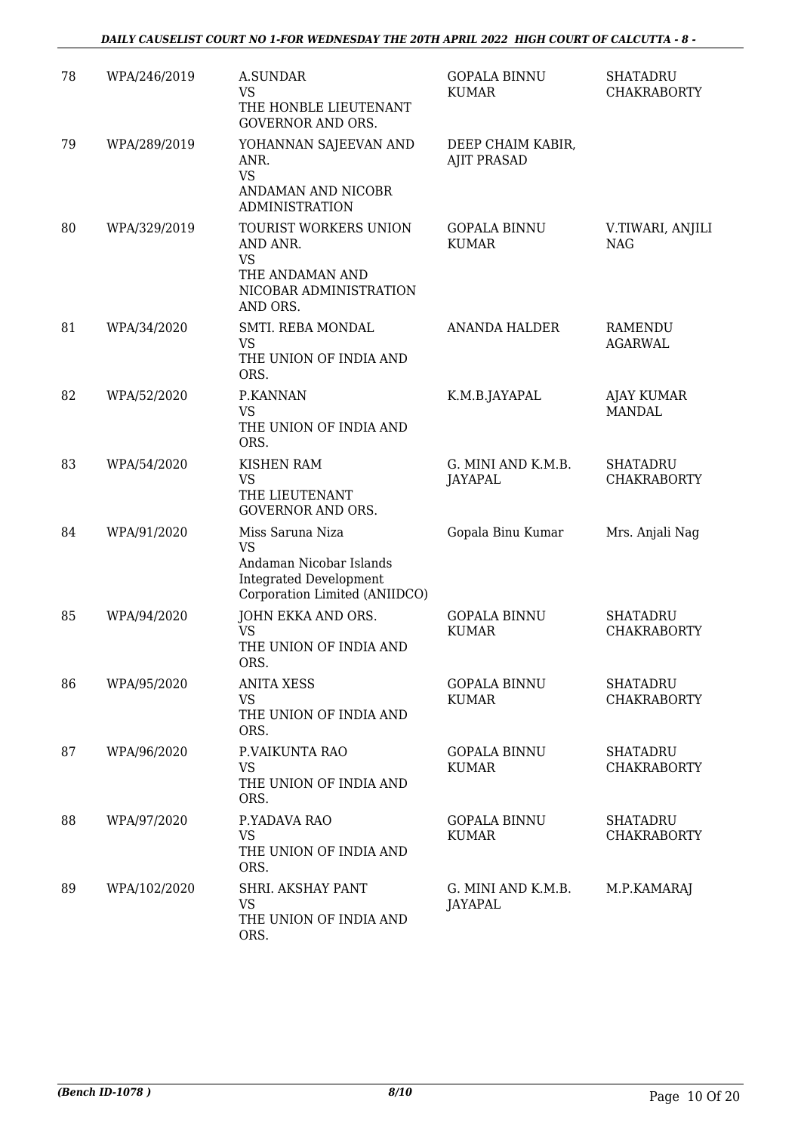| 78 | WPA/246/2019 | <b>A.SUNDAR</b><br><b>VS</b><br>THE HONBLE LIEUTENANT<br><b>GOVERNOR AND ORS.</b>                                          | <b>GOPALA BINNU</b><br><b>KUMAR</b>     | <b>SHATADRU</b><br><b>CHAKRABORTY</b> |
|----|--------------|----------------------------------------------------------------------------------------------------------------------------|-----------------------------------------|---------------------------------------|
| 79 | WPA/289/2019 | YOHANNAN SAJEEVAN AND<br>ANR.<br><b>VS</b><br>ANDAMAN AND NICOBR<br><b>ADMINISTRATION</b>                                  | DEEP CHAIM KABIR,<br><b>AJIT PRASAD</b> |                                       |
| 80 | WPA/329/2019 | TOURIST WORKERS UNION<br>AND ANR.<br>VS<br>THE ANDAMAN AND<br>NICOBAR ADMINISTRATION<br>AND ORS.                           | <b>GOPALA BINNU</b><br><b>KUMAR</b>     | V.TIWARI, ANJILI<br><b>NAG</b>        |
| 81 | WPA/34/2020  | SMTI. REBA MONDAL<br><b>VS</b><br>THE UNION OF INDIA AND<br>ORS.                                                           | <b>ANANDA HALDER</b>                    | <b>RAMENDU</b><br><b>AGARWAL</b>      |
| 82 | WPA/52/2020  | P.KANNAN<br>VS<br>THE UNION OF INDIA AND<br>ORS.                                                                           | K.M.B.JAYAPAL                           | <b>AJAY KUMAR</b><br><b>MANDAL</b>    |
| 83 | WPA/54/2020  | <b>KISHEN RAM</b><br><b>VS</b><br>THE LIEUTENANT<br><b>GOVERNOR AND ORS.</b>                                               | G. MINI AND K.M.B.<br><b>JAYAPAL</b>    | <b>SHATADRU</b><br><b>CHAKRABORTY</b> |
| 84 | WPA/91/2020  | Miss Saruna Niza<br><b>VS</b><br>Andaman Nicobar Islands<br><b>Integrated Development</b><br>Corporation Limited (ANIIDCO) | Gopala Binu Kumar                       | Mrs. Anjali Nag                       |
| 85 | WPA/94/2020  | JOHN EKKA AND ORS.<br><b>VS</b><br>THE UNION OF INDIA AND<br>ORS.                                                          | <b>GOPALA BINNU</b><br><b>KUMAR</b>     | <b>SHATADRU</b><br><b>CHAKRABORTY</b> |
| 86 | WPA/95/2020  | <b>ANITA XESS</b><br><b>VS</b><br>THE UNION OF INDIA AND<br>ORS.                                                           | <b>GOPALA BINNU</b><br><b>KUMAR</b>     | SHATADRU<br><b>CHAKRABORTY</b>        |
| 87 | WPA/96/2020  | P.VAIKUNTA RAO<br>VS<br>THE UNION OF INDIA AND<br>ORS.                                                                     | <b>GOPALA BINNU</b><br>KUMAR            | <b>SHATADRU</b><br><b>CHAKRABORTY</b> |
| 88 | WPA/97/2020  | P.YADAVA RAO<br><b>VS</b><br>THE UNION OF INDIA AND<br>ORS.                                                                | <b>GOPALA BINNU</b><br><b>KUMAR</b>     | <b>SHATADRU</b><br><b>CHAKRABORTY</b> |
| 89 | WPA/102/2020 | SHRI. AKSHAY PANT<br>VS<br>THE UNION OF INDIA AND<br>ORS.                                                                  | G. MINI AND K.M.B.<br>JAYAPAL           | M.P.KAMARAJ                           |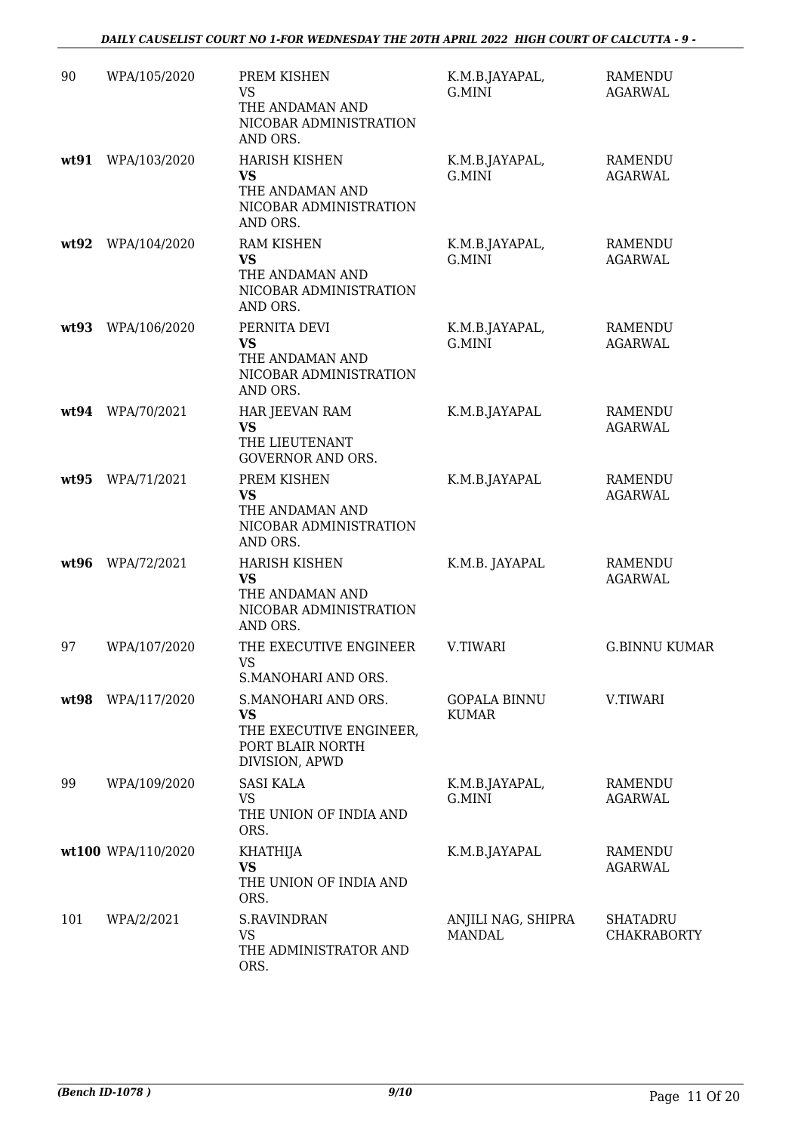| 90   | WPA/105/2020       | PREM KISHEN<br><b>VS</b><br>THE ANDAMAN AND<br>NICOBAR ADMINISTRATION<br>AND ORS.                 | K.M.B.JAYAPAL,<br>G.MINI            | <b>RAMENDU</b><br><b>AGARWAL</b>      |
|------|--------------------|---------------------------------------------------------------------------------------------------|-------------------------------------|---------------------------------------|
| wt91 | WPA/103/2020       | <b>HARISH KISHEN</b><br><b>VS</b><br>THE ANDAMAN AND<br>NICOBAR ADMINISTRATION<br>AND ORS.        | K.M.B.JAYAPAL,<br>G.MINI            | RAMENDU<br><b>AGARWAL</b>             |
| wt92 | WPA/104/2020       | <b>RAM KISHEN</b><br><b>VS</b><br>THE ANDAMAN AND<br>NICOBAR ADMINISTRATION<br>AND ORS.           | K.M.B.JAYAPAL,<br>G.MINI            | RAMENDU<br><b>AGARWAL</b>             |
| wt93 | WPA/106/2020       | PERNITA DEVI<br><b>VS</b><br>THE ANDAMAN AND<br>NICOBAR ADMINISTRATION<br>AND ORS.                | K.M.B.JAYAPAL,<br>G.MINI            | <b>RAMENDU</b><br><b>AGARWAL</b>      |
| wt94 | WPA/70/2021        | HAR JEEVAN RAM<br><b>VS</b><br>THE LIEUTENANT<br><b>GOVERNOR AND ORS.</b>                         | K.M.B.JAYAPAL                       | <b>RAMENDU</b><br><b>AGARWAL</b>      |
| wt95 | WPA/71/2021        | PREM KISHEN<br><b>VS</b><br>THE ANDAMAN AND<br>NICOBAR ADMINISTRATION<br>AND ORS.                 | K.M.B.JAYAPAL                       | <b>RAMENDU</b><br><b>AGARWAL</b>      |
| wt96 | WPA/72/2021        | <b>HARISH KISHEN</b><br><b>VS</b><br>THE ANDAMAN AND<br>NICOBAR ADMINISTRATION<br>AND ORS.        | K.M.B. JAYAPAL                      | RAMENDU<br><b>AGARWAL</b>             |
| 97   | WPA/107/2020       | THE EXECUTIVE ENGINEER<br>VS<br>S.MANOHARI AND ORS.                                               | V.TIWARI                            | <b>G.BINNU KUMAR</b>                  |
| wt98 | WPA/117/2020       | S.MANOHARI AND ORS.<br><b>VS</b><br>THE EXECUTIVE ENGINEER,<br>PORT BLAIR NORTH<br>DIVISION, APWD | <b>GOPALA BINNU</b><br><b>KUMAR</b> | V.TIWARI                              |
| 99   | WPA/109/2020       | <b>SASI KALA</b><br>VS<br>THE UNION OF INDIA AND<br>ORS.                                          | K.M.B.JAYAPAL,<br>G.MINI            | <b>RAMENDU</b><br><b>AGARWAL</b>      |
|      | wt100 WPA/110/2020 | <b>KHATHIJA</b><br><b>VS</b><br>THE UNION OF INDIA AND<br>ORS.                                    | K.M.B.JAYAPAL                       | RAMENDU<br><b>AGARWAL</b>             |
| 101  | WPA/2/2021         | <b>S.RAVINDRAN</b><br><b>VS</b><br>THE ADMINISTRATOR AND<br>ORS.                                  | ANJILI NAG, SHIPRA<br><b>MANDAL</b> | <b>SHATADRU</b><br><b>CHAKRABORTY</b> |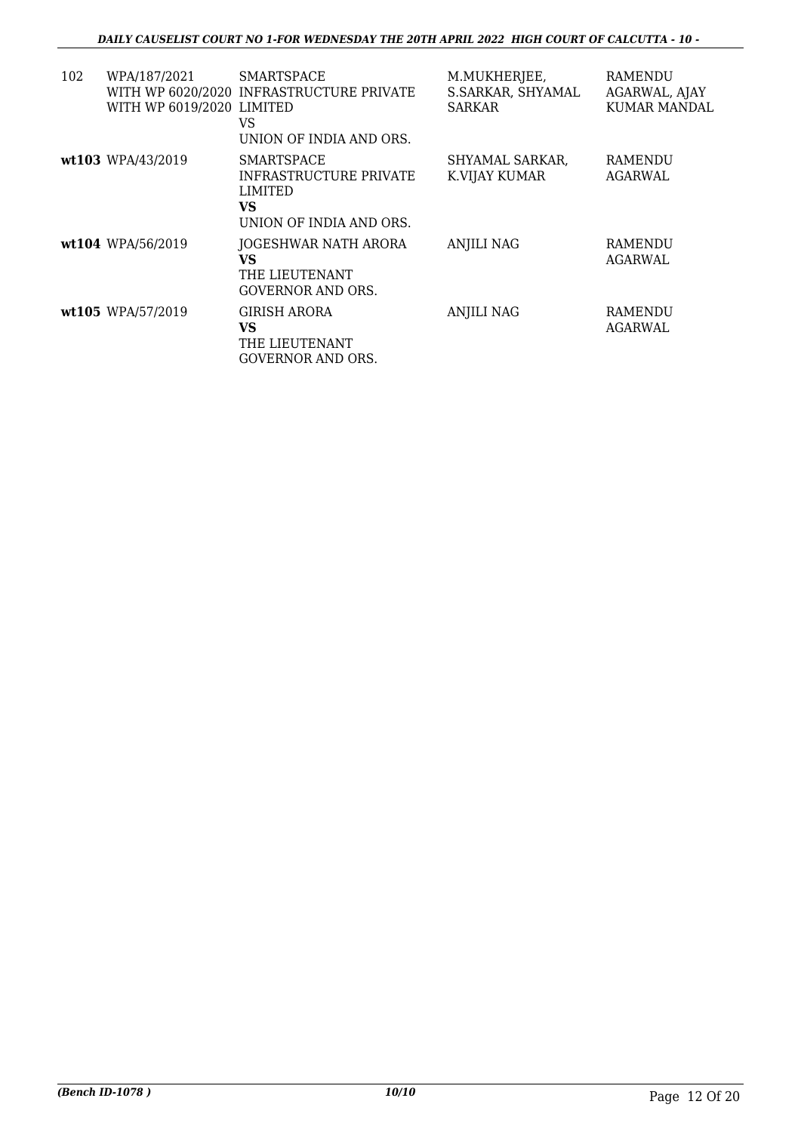| 102 | WPA/187/2021<br>WITH WP 6019/2020 LIMITED | <b>SMARTSPACE</b><br>WITH WP 6020/2020 INFRASTRUCTURE PRIVATE<br>VS<br>UNION OF INDIA AND ORS. | M.MUKHERJEE,<br>S.SARKAR, SHYAMAL<br><b>SARKAR</b> | RAMENDU<br>AGARWAL, AJAY<br>KUMAR MANDAL |
|-----|-------------------------------------------|------------------------------------------------------------------------------------------------|----------------------------------------------------|------------------------------------------|
|     | wt103 WPA/43/2019                         | SMARTSPACE<br><b>INFRASTRUCTURE PRIVATE</b><br>LIMITED<br>VS.<br>UNION OF INDIA AND ORS.       | SHYAMAL SARKAR,<br>K.VIJAY KUMAR                   | RAMENDU<br>AGARWAL                       |
|     | wt104 WPA/56/2019                         | JOGESHWAR NATH ARORA<br>VS<br>THE LIEUTENANT<br><b>GOVERNOR AND ORS.</b>                       | <b>ANJILI NAG</b>                                  | RAMENDU<br>AGARWAL                       |
|     | wt105 WPA/57/2019                         | GIRISH ARORA<br>VS<br>THE LIEUTENANT<br><b>GOVERNOR AND ORS.</b>                               | <b>ANJILI NAG</b>                                  | RAMENDU<br>AGARWAL                       |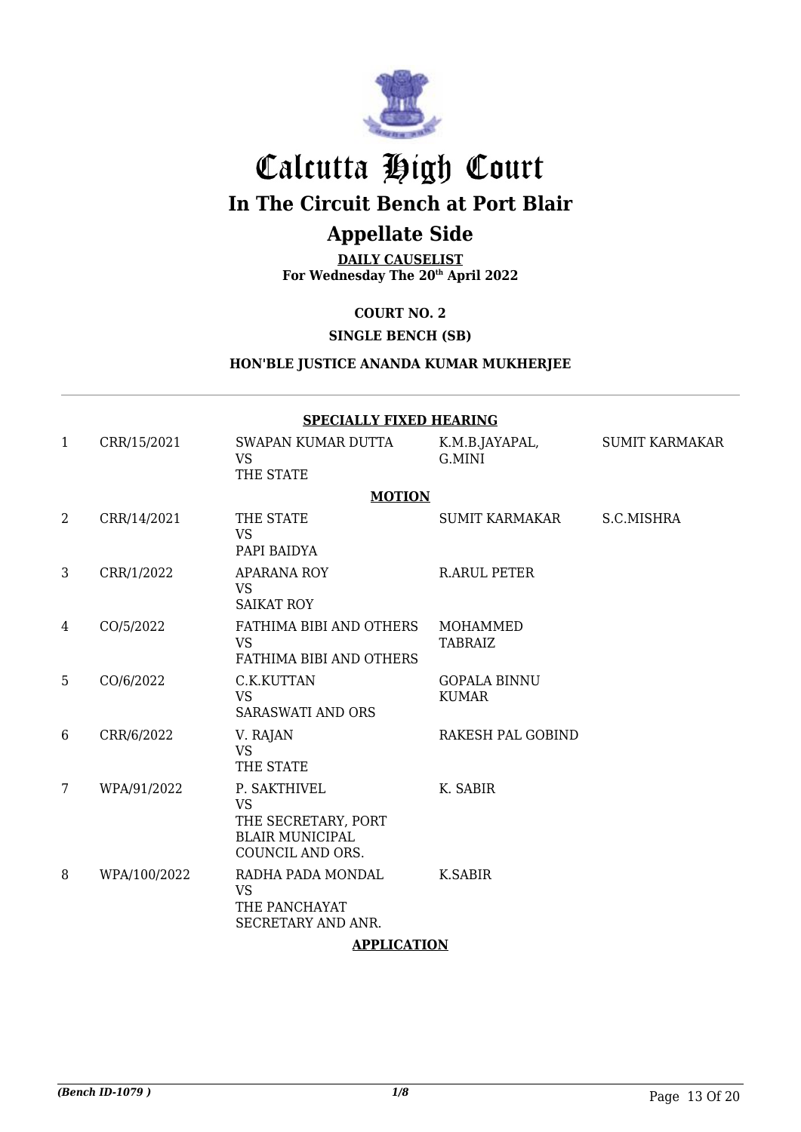

# Calcutta High Court **In The Circuit Bench at Port Blair**

# **Appellate Side**

## **DAILY CAUSELIST**

**For Wednesday The 20th April 2022**

**COURT NO. 2**

**SINGLE BENCH (SB)**

### **HON'BLE JUSTICE ANANDA KUMAR MUKHERJEE**

|                | <b>SPECIALLY FIXED HEARING</b> |                                                                                                |                                     |                       |  |  |
|----------------|--------------------------------|------------------------------------------------------------------------------------------------|-------------------------------------|-----------------------|--|--|
| $\mathbf{1}$   | CRR/15/2021                    | SWAPAN KUMAR DUTTA<br><b>VS</b><br>THE STATE                                                   | K.M.B.JAYAPAL,<br>G.MINI            | <b>SUMIT KARMAKAR</b> |  |  |
|                |                                | <b>MOTION</b>                                                                                  |                                     |                       |  |  |
| $\overline{2}$ | CRR/14/2021                    | THE STATE<br><b>VS</b><br>PAPI BAIDYA                                                          | <b>SUMIT KARMAKAR</b>               | S.C.MISHRA            |  |  |
| 3              | CRR/1/2022                     | <b>APARANA ROY</b><br><b>VS</b><br><b>SAIKAT ROY</b>                                           | <b>R.ARUL PETER</b>                 |                       |  |  |
| 4              | CO/5/2022                      | FATHIMA BIBI AND OTHERS<br><b>VS</b><br>FATHIMA BIBI AND OTHERS                                | <b>MOHAMMED</b><br><b>TABRAIZ</b>   |                       |  |  |
| 5              | CO/6/2022                      | C.K.KUTTAN<br><b>VS</b><br><b>SARASWATI AND ORS</b>                                            | <b>GOPALA BINNU</b><br><b>KUMAR</b> |                       |  |  |
| 6              | CRR/6/2022                     | V. RAJAN<br><b>VS</b><br>THE STATE                                                             | <b>RAKESH PAL GOBIND</b>            |                       |  |  |
| 7              | WPA/91/2022                    | P. SAKTHIVEL<br><b>VS</b><br>THE SECRETARY, PORT<br><b>BLAIR MUNICIPAL</b><br>COUNCIL AND ORS. | K. SABIR                            |                       |  |  |
| 8              | WPA/100/2022                   | RADHA PADA MONDAL<br><b>VS</b><br>THE PANCHAYAT<br>SECRETARY AND ANR.                          | K.SABIR                             |                       |  |  |

#### **APPLICATION**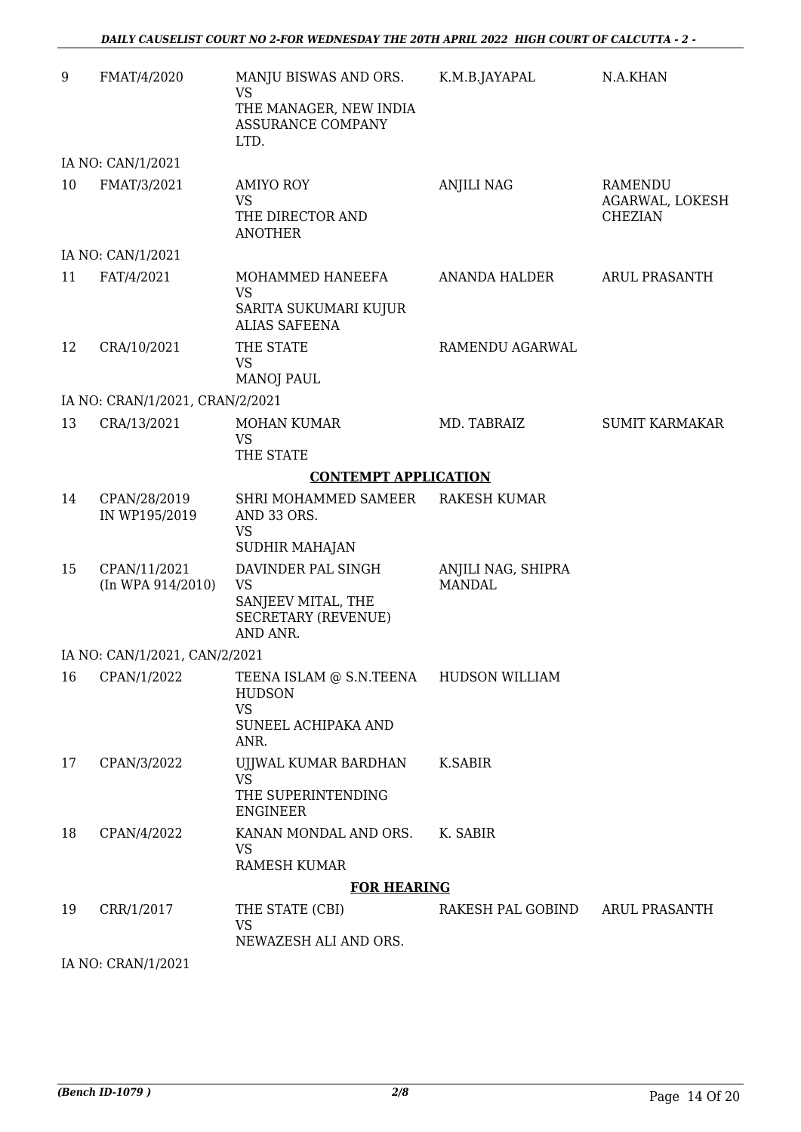| 9  | FMAT/4/2020                       | MANJU BISWAS AND ORS.<br><b>VS</b>                                                              | K.M.B.JAYAPAL                       | N.A.KHAN                                     |
|----|-----------------------------------|-------------------------------------------------------------------------------------------------|-------------------------------------|----------------------------------------------|
|    |                                   | THE MANAGER, NEW INDIA<br>ASSURANCE COMPANY<br>LTD.                                             |                                     |                                              |
|    | IA NO: CAN/1/2021                 |                                                                                                 |                                     |                                              |
| 10 | FMAT/3/2021                       | <b>AMIYO ROY</b><br><b>VS</b><br>THE DIRECTOR AND<br><b>ANOTHER</b>                             | <b>ANJILI NAG</b>                   | RAMENDU<br>AGARWAL, LOKESH<br><b>CHEZIAN</b> |
|    | IA NO: CAN/1/2021                 |                                                                                                 |                                     |                                              |
| 11 | FAT/4/2021                        | MOHAMMED HANEEFA<br><b>VS</b><br>SARITA SUKUMARI KUJUR<br><b>ALIAS SAFEENA</b>                  | ANANDA HALDER                       | <b>ARUL PRASANTH</b>                         |
| 12 | CRA/10/2021                       | THE STATE<br><b>VS</b><br><b>MANOJ PAUL</b>                                                     | RAMENDU AGARWAL                     |                                              |
|    | IA NO: CRAN/1/2021, CRAN/2/2021   |                                                                                                 |                                     |                                              |
| 13 | CRA/13/2021                       | <b>MOHAN KUMAR</b><br><b>VS</b><br>THE STATE                                                    | MD. TABRAIZ                         | <b>SUMIT KARMAKAR</b>                        |
|    |                                   | <b>CONTEMPT APPLICATION</b>                                                                     |                                     |                                              |
| 14 | CPAN/28/2019<br>IN WP195/2019     | SHRI MOHAMMED SAMEER<br>AND 33 ORS.                                                             | <b>RAKESH KUMAR</b>                 |                                              |
|    |                                   | <b>VS</b><br><b>SUDHIR MAHAJAN</b>                                                              |                                     |                                              |
| 15 | CPAN/11/2021<br>(In WPA 914/2010) | DAVINDER PAL SINGH<br><b>VS</b><br>SANJEEV MITAL, THE<br><b>SECRETARY (REVENUE)</b><br>AND ANR. | ANJILI NAG, SHIPRA<br><b>MANDAL</b> |                                              |
|    | IA NO: CAN/1/2021, CAN/2/2021     |                                                                                                 |                                     |                                              |
| 16 | CPAN/1/2022                       | TEENA ISLAM @ S.N.TEENA<br><b>HUDSON</b><br><b>VS</b><br>SUNEEL ACHIPAKA AND<br>ANR.            | <b>HUDSON WILLIAM</b>               |                                              |
| 17 | CPAN/3/2022                       | UJJWAL KUMAR BARDHAN<br><b>VS</b><br>THE SUPERINTENDING<br><b>ENGINEER</b>                      | K.SABIR                             |                                              |
| 18 | CPAN/4/2022                       | KANAN MONDAL AND ORS.<br><b>VS</b><br><b>RAMESH KUMAR</b>                                       | K. SABIR                            |                                              |
|    |                                   | <b>FOR HEARING</b>                                                                              |                                     |                                              |
| 19 | CRR/1/2017                        | THE STATE (CBI)<br><b>VS</b><br>NEWAZESH ALI AND ORS.                                           | RAKESH PAL GOBIND                   | <b>ARUL PRASANTH</b>                         |
|    |                                   |                                                                                                 |                                     |                                              |

IA NO: CRAN/1/2021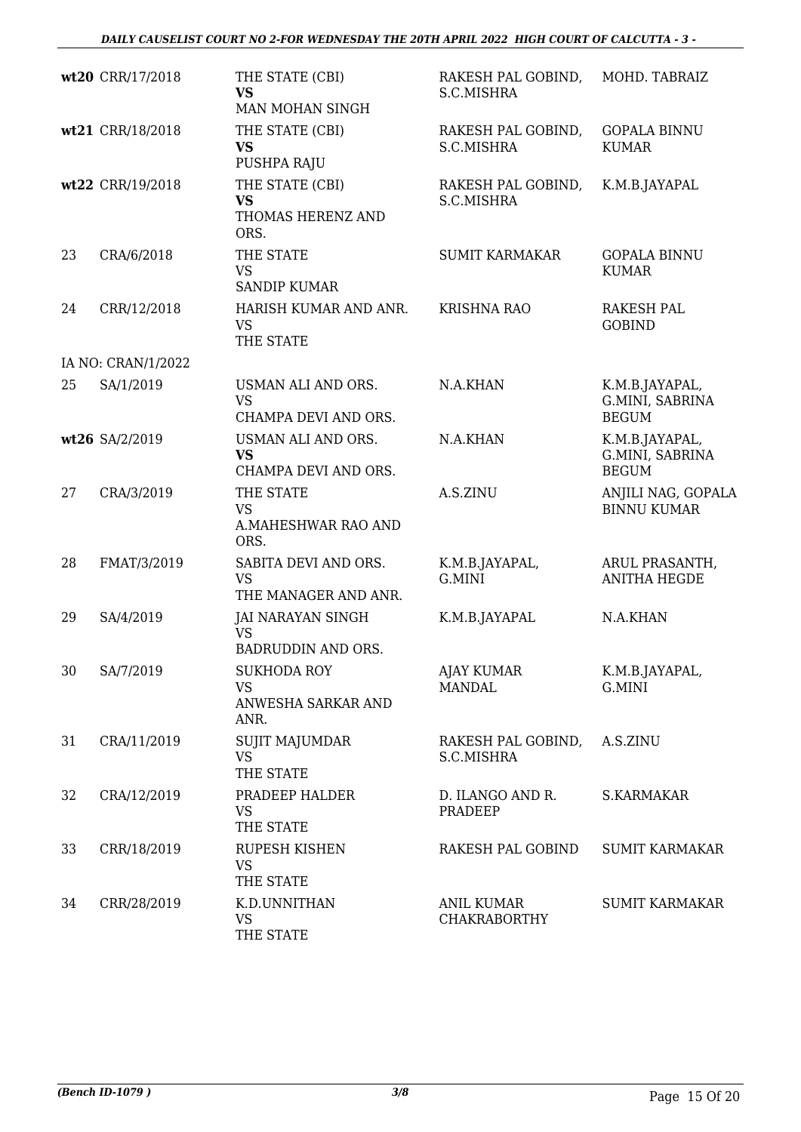|    | wt20 CRR/17/2018   | THE STATE (CBI)<br><b>VS</b><br>MAN MOHAN SINGH               | RAKESH PAL GOBIND,<br>S.C.MISHRA         | MOHD. TABRAIZ                                     |
|----|--------------------|---------------------------------------------------------------|------------------------------------------|---------------------------------------------------|
|    | wt21 CRR/18/2018   | THE STATE (CBI)<br><b>VS</b><br>PUSHPA RAJU                   | RAKESH PAL GOBIND,<br>S.C.MISHRA         | <b>GOPALA BINNU</b><br><b>KUMAR</b>               |
|    | wt22 CRR/19/2018   | THE STATE (CBI)<br><b>VS</b><br>THOMAS HERENZ AND<br>ORS.     | RAKESH PAL GOBIND,<br>S.C.MISHRA         | K.M.B.JAYAPAL                                     |
| 23 | CRA/6/2018         | THE STATE<br><b>VS</b><br><b>SANDIP KUMAR</b>                 | <b>SUMIT KARMAKAR</b>                    | <b>GOPALA BINNU</b><br><b>KUMAR</b>               |
| 24 | CRR/12/2018        | HARISH KUMAR AND ANR.<br><b>VS</b><br>THE STATE               | <b>KRISHNA RAO</b>                       | <b>RAKESH PAL</b><br><b>GOBIND</b>                |
|    | IA NO: CRAN/1/2022 |                                                               |                                          |                                                   |
| 25 | SA/1/2019          | USMAN ALI AND ORS.<br><b>VS</b><br>CHAMPA DEVI AND ORS.       | N.A.KHAN                                 | K.M.B.JAYAPAL,<br>G.MINI, SABRINA<br><b>BEGUM</b> |
|    | wt26 SA/2/2019     | USMAN ALI AND ORS.<br><b>VS</b><br>CHAMPA DEVI AND ORS.       | N.A.KHAN                                 | K.M.B.JAYAPAL,<br>G.MINI, SABRINA<br><b>BEGUM</b> |
| 27 | CRA/3/2019         | THE STATE<br><b>VS</b><br>A.MAHESHWAR RAO AND<br>ORS.         | A.S.ZINU                                 | ANJILI NAG, GOPALA<br><b>BINNU KUMAR</b>          |
| 28 | FMAT/3/2019        | SABITA DEVI AND ORS.<br><b>VS</b><br>THE MANAGER AND ANR.     | K.M.B.JAYAPAL,<br>G.MINI                 | ARUL PRASANTH,<br><b>ANITHA HEGDE</b>             |
| 29 | SA/4/2019          | JAI NARAYAN SINGH<br><b>VS</b><br><b>BADRUDDIN AND ORS.</b>   | K.M.B.JAYAPAL                            | N.A.KHAN                                          |
| 30 | SA/7/2019          | <b>SUKHODA ROY</b><br><b>VS</b><br>ANWESHA SARKAR AND<br>ANR. | <b>AJAY KUMAR</b><br><b>MANDAL</b>       | K.M.B.JAYAPAL,<br>G.MINI                          |
| 31 | CRA/11/2019        | <b>SUJIT MAJUMDAR</b><br><b>VS</b><br>THE STATE               | RAKESH PAL GOBIND,<br>S.C.MISHRA         | A.S.ZINU                                          |
| 32 | CRA/12/2019        | PRADEEP HALDER<br><b>VS</b><br>THE STATE                      | D. ILANGO AND R.<br>PRADEEP              | S.KARMAKAR                                        |
| 33 | CRR/18/2019        | RUPESH KISHEN<br><b>VS</b><br>THE STATE                       | RAKESH PAL GOBIND                        | <b>SUMIT KARMAKAR</b>                             |
| 34 | CRR/28/2019        | K.D.UNNITHAN<br><b>VS</b><br>THE STATE                        | <b>ANIL KUMAR</b><br><b>CHAKRABORTHY</b> | <b>SUMIT KARMAKAR</b>                             |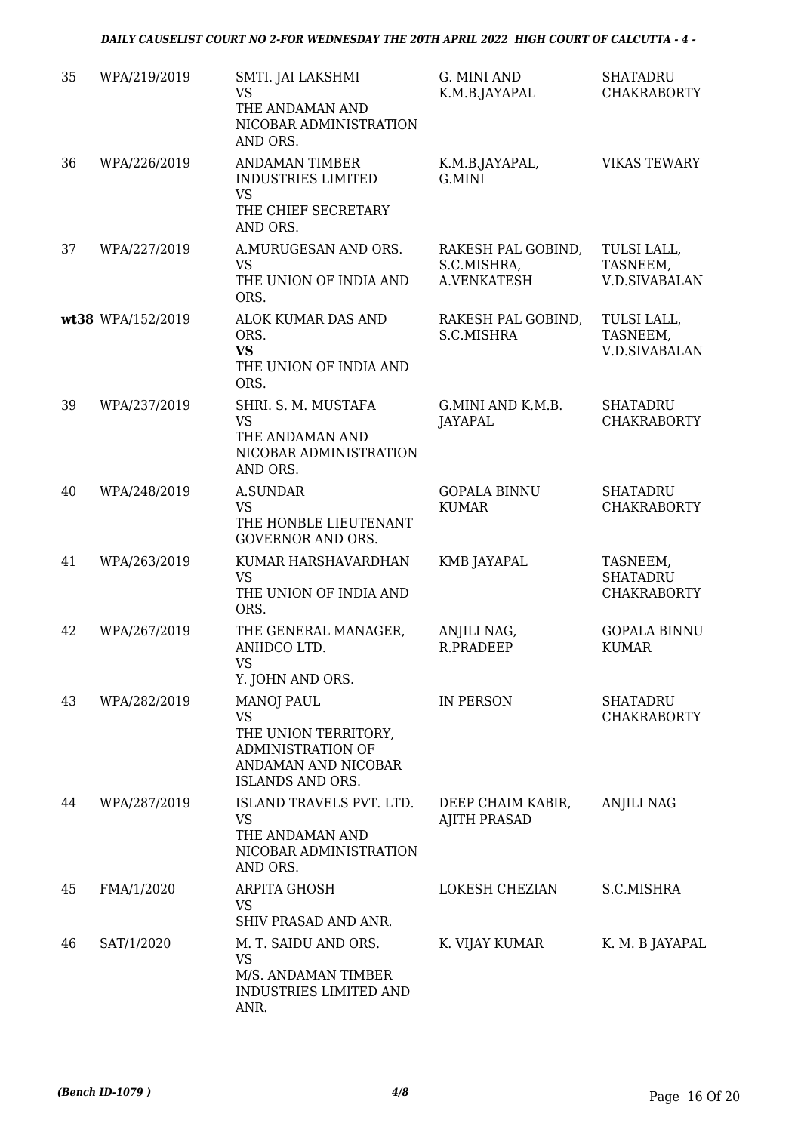| 35 | WPA/219/2019      | SMTI. JAI LAKSHMI<br><b>VS</b><br>THE ANDAMAN AND<br>NICOBAR ADMINISTRATION<br>AND ORS.                                | G. MINI AND<br>K.M.B.JAYAPAL                     | <b>SHATADRU</b><br><b>CHAKRABORTY</b>             |
|----|-------------------|------------------------------------------------------------------------------------------------------------------------|--------------------------------------------------|---------------------------------------------------|
| 36 | WPA/226/2019      | <b>ANDAMAN TIMBER</b><br><b>INDUSTRIES LIMITED</b><br><b>VS</b><br>THE CHIEF SECRETARY<br>AND ORS.                     | K.M.B.JAYAPAL,<br>G.MINI                         | <b>VIKAS TEWARY</b>                               |
| 37 | WPA/227/2019      | A.MURUGESAN AND ORS.<br><b>VS</b><br>THE UNION OF INDIA AND<br>ORS.                                                    | RAKESH PAL GOBIND,<br>S.C.MISHRA,<br>A.VENKATESH | TULSI LALL,<br>TASNEEM,<br><b>V.D.SIVABALAN</b>   |
|    | wt38 WPA/152/2019 | ALOK KUMAR DAS AND<br>ORS.<br><b>VS</b><br>THE UNION OF INDIA AND<br>ORS.                                              | RAKESH PAL GOBIND,<br>S.C.MISHRA                 | TULSI LALL,<br>TASNEEM,<br><b>V.D.SIVABALAN</b>   |
| 39 | WPA/237/2019      | SHRI. S. M. MUSTAFA<br><b>VS</b><br>THE ANDAMAN AND<br>NICOBAR ADMINISTRATION<br>AND ORS.                              | G.MINI AND K.M.B.<br>JAYAPAL                     | <b>SHATADRU</b><br><b>CHAKRABORTY</b>             |
| 40 | WPA/248/2019      | <b>A.SUNDAR</b><br><b>VS</b><br>THE HONBLE LIEUTENANT<br><b>GOVERNOR AND ORS.</b>                                      | <b>GOPALA BINNU</b><br><b>KUMAR</b>              | <b>SHATADRU</b><br><b>CHAKRABORTY</b>             |
| 41 | WPA/263/2019      | KUMAR HARSHAVARDHAN<br><b>VS</b><br>THE UNION OF INDIA AND<br>ORS.                                                     | KMB JAYAPAL                                      | TASNEEM,<br><b>SHATADRU</b><br><b>CHAKRABORTY</b> |
| 42 | WPA/267/2019      | THE GENERAL MANAGER,<br>ANIIDCO LTD.<br><b>VS</b><br>Y. JOHN AND ORS.                                                  | ANJILI NAG,<br>R.PRADEEP                         | <b>GOPALA BINNU</b><br><b>KUMAR</b>               |
| 43 | WPA/282/2019      | <b>MANOJ PAUL</b><br><b>VS</b><br>THE UNION TERRITORY,<br>ADMINISTRATION OF<br>ANDAMAN AND NICOBAR<br>ISLANDS AND ORS. | <b>IN PERSON</b>                                 | <b>SHATADRU</b><br><b>CHAKRABORTY</b>             |
| 44 | WPA/287/2019      | ISLAND TRAVELS PVT. LTD.<br><b>VS</b><br>THE ANDAMAN AND<br>NICOBAR ADMINISTRATION<br>AND ORS.                         | DEEP CHAIM KABIR,<br><b>AJITH PRASAD</b>         | <b>ANJILI NAG</b>                                 |
| 45 | FMA/1/2020        | <b>ARPITA GHOSH</b><br>VS<br>SHIV PRASAD AND ANR.                                                                      | LOKESH CHEZIAN                                   | S.C.MISHRA                                        |
| 46 | SAT/1/2020        | M. T. SAIDU AND ORS.<br><b>VS</b><br>M/S. ANDAMAN TIMBER<br><b>INDUSTRIES LIMITED AND</b><br>ANR.                      | K. VIJAY KUMAR                                   | K. M. B JAYAPAL                                   |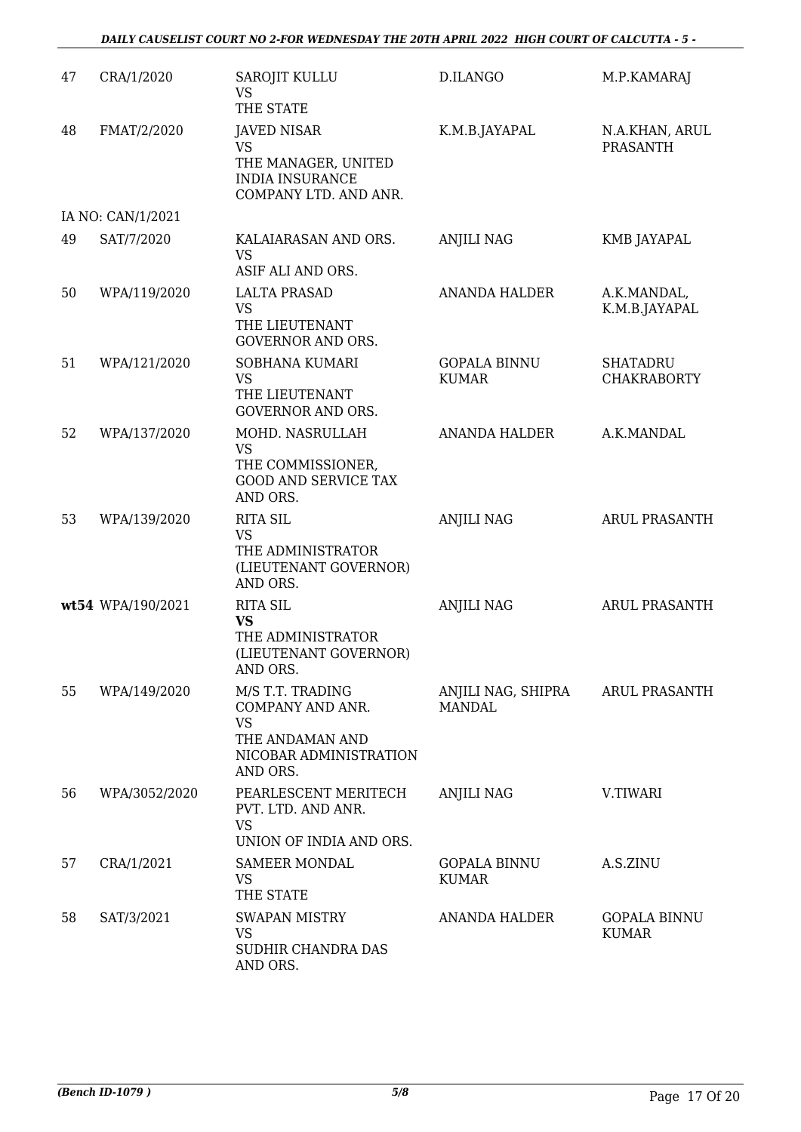#### *DAILY CAUSELIST COURT NO 2-FOR WEDNESDAY THE 20TH APRIL 2022 HIGH COURT OF CALCUTTA - 5 -*

| 47 | CRA/1/2020        | <b>SAROJIT KULLU</b><br><b>VS</b><br>THE STATE                                                             | D.ILANGO                            | M.P.KAMARAJ                           |
|----|-------------------|------------------------------------------------------------------------------------------------------------|-------------------------------------|---------------------------------------|
| 48 | FMAT/2/2020       | <b>JAVED NISAR</b><br><b>VS</b><br>THE MANAGER, UNITED<br><b>INDIA INSURANCE</b><br>COMPANY LTD. AND ANR.  | K.M.B.JAYAPAL                       | N.A.KHAN, ARUL<br><b>PRASANTH</b>     |
|    | IA NO: CAN/1/2021 |                                                                                                            |                                     |                                       |
| 49 | SAT/7/2020        | KALAIARASAN AND ORS.<br><b>VS</b><br>ASIF ALI AND ORS.                                                     | <b>ANJILI NAG</b>                   | <b>KMB JAYAPAL</b>                    |
| 50 | WPA/119/2020      | <b>LALTA PRASAD</b><br><b>VS</b><br>THE LIEUTENANT<br><b>GOVERNOR AND ORS.</b>                             | <b>ANANDA HALDER</b>                | A.K.MANDAL,<br>K.M.B.JAYAPAL          |
| 51 | WPA/121/2020      | SOBHANA KUMARI<br><b>VS</b><br>THE LIEUTENANT<br><b>GOVERNOR AND ORS.</b>                                  | <b>GOPALA BINNU</b><br><b>KUMAR</b> | <b>SHATADRU</b><br><b>CHAKRABORTY</b> |
| 52 | WPA/137/2020      | MOHD. NASRULLAH<br><b>VS</b><br>THE COMMISSIONER,<br><b>GOOD AND SERVICE TAX</b><br>AND ORS.               | <b>ANANDA HALDER</b>                | A.K.MANDAL                            |
| 53 | WPA/139/2020      | <b>RITA SIL</b><br><b>VS</b><br>THE ADMINISTRATOR<br>(LIEUTENANT GOVERNOR)<br>AND ORS.                     | <b>ANJILI NAG</b>                   | ARUL PRASANTH                         |
|    | wt54 WPA/190/2021 | <b>RITA SIL</b><br><b>VS</b><br>THE ADMINISTRATOR<br>(LIEUTENANT GOVERNOR)<br>AND ORS.                     | <b>ANJILI NAG</b>                   | <b>ARUL PRASANTH</b>                  |
| 55 | WPA/149/2020      | M/S T.T. TRADING<br>COMPANY AND ANR.<br><b>VS</b><br>THE ANDAMAN AND<br>NICOBAR ADMINISTRATION<br>AND ORS. | ANJILI NAG, SHIPRA<br><b>MANDAL</b> | ARUL PRASANTH                         |
| 56 | WPA/3052/2020     | PEARLESCENT MERITECH<br>PVT. LTD. AND ANR.<br><b>VS</b><br>UNION OF INDIA AND ORS.                         | <b>ANJILI NAG</b>                   | V.TIWARI                              |
| 57 | CRA/1/2021        | <b>SAMEER MONDAL</b><br><b>VS</b><br>THE STATE                                                             | <b>GOPALA BINNU</b><br><b>KUMAR</b> | A.S.ZINU                              |
| 58 | SAT/3/2021        | <b>SWAPAN MISTRY</b><br><b>VS</b><br>SUDHIR CHANDRA DAS<br>AND ORS.                                        | <b>ANANDA HALDER</b>                | <b>GOPALA BINNU</b><br><b>KUMAR</b>   |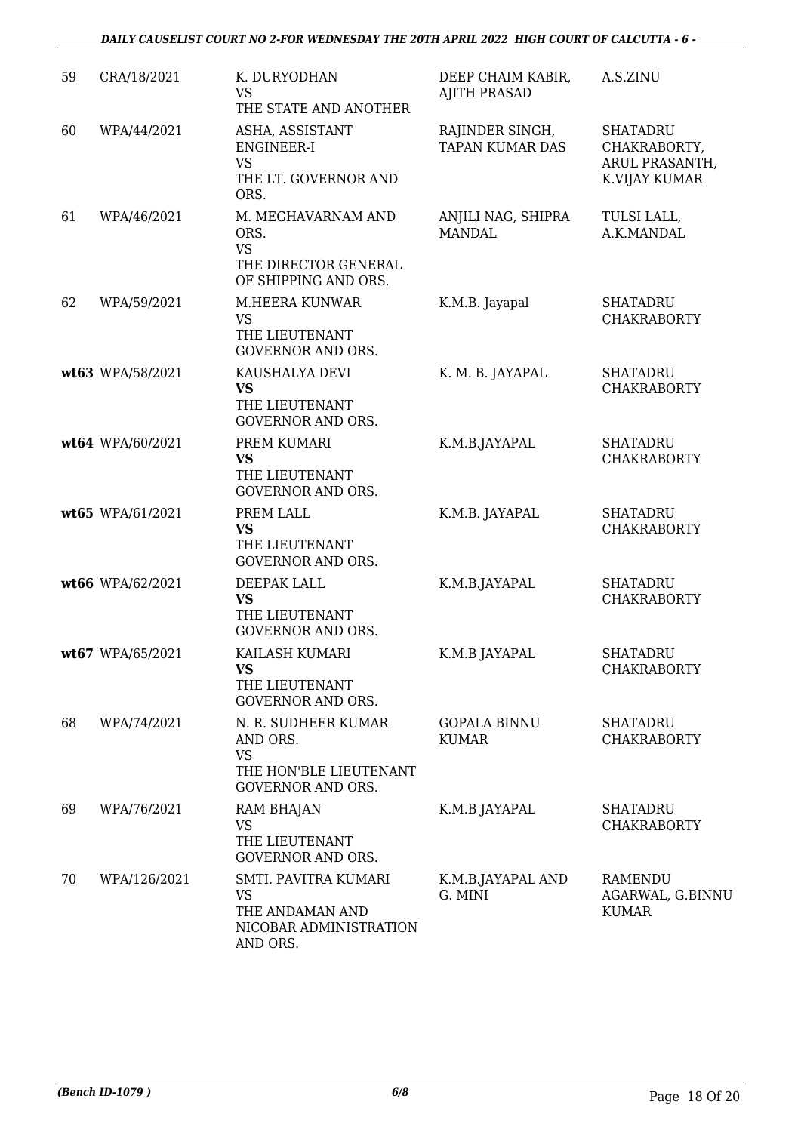| 59 | CRA/18/2021      | K. DURYODHAN<br><b>VS</b><br>THE STATE AND ANOTHER                                                 | DEEP CHAIM KABIR,<br><b>AJITH PRASAD</b>  | A.S.ZINU                                                           |
|----|------------------|----------------------------------------------------------------------------------------------------|-------------------------------------------|--------------------------------------------------------------------|
| 60 | WPA/44/2021      | ASHA, ASSISTANT<br><b>ENGINEER-I</b><br><b>VS</b><br>THE LT. GOVERNOR AND<br>ORS.                  | RAJINDER SINGH,<br><b>TAPAN KUMAR DAS</b> | <b>SHATADRU</b><br>CHAKRABORTY,<br>ARUL PRASANTH,<br>K.VIJAY KUMAR |
| 61 | WPA/46/2021      | M. MEGHAVARNAM AND<br>ORS.<br><b>VS</b><br>THE DIRECTOR GENERAL<br>OF SHIPPING AND ORS.            | ANJILI NAG, SHIPRA<br><b>MANDAL</b>       | TULSI LALL,<br>A.K.MANDAL                                          |
| 62 | WPA/59/2021      | M.HEERA KUNWAR<br><b>VS</b><br>THE LIEUTENANT<br><b>GOVERNOR AND ORS.</b>                          | K.M.B. Jayapal                            | <b>SHATADRU</b><br><b>CHAKRABORTY</b>                              |
|    | wt63 WPA/58/2021 | KAUSHALYA DEVI<br><b>VS</b><br>THE LIEUTENANT<br>GOVERNOR AND ORS.                                 | K. M. B. JAYAPAL                          | <b>SHATADRU</b><br><b>CHAKRABORTY</b>                              |
|    | wt64 WPA/60/2021 | PREM KUMARI<br><b>VS</b><br>THE LIEUTENANT<br><b>GOVERNOR AND ORS.</b>                             | K.M.B.JAYAPAL                             | <b>SHATADRU</b><br><b>CHAKRABORTY</b>                              |
|    | wt65 WPA/61/2021 | PREM LALL<br><b>VS</b><br>THE LIEUTENANT<br><b>GOVERNOR AND ORS.</b>                               | K.M.B. JAYAPAL                            | <b>SHATADRU</b><br><b>CHAKRABORTY</b>                              |
|    | wt66 WPA/62/2021 | DEEPAK LALL<br><b>VS</b><br>THE LIEUTENANT<br><b>GOVERNOR AND ORS.</b>                             | K.M.B.JAYAPAL                             | <b>SHATADRU</b><br><b>CHAKRABORTY</b>                              |
|    | wt67 WPA/65/2021 | KAILASH KUMARI<br><b>VS</b><br>THE LIEUTENANT<br><b>GOVERNOR AND ORS.</b>                          | K.M.B JAYAPAL                             | <b>SHATADRU</b><br><b>CHAKRABORTY</b>                              |
| 68 | WPA/74/2021      | N. R. SUDHEER KUMAR<br>AND ORS.<br><b>VS</b><br>THE HON'BLE LIEUTENANT<br><b>GOVERNOR AND ORS.</b> | <b>GOPALA BINNU</b><br><b>KUMAR</b>       | <b>SHATADRU</b><br><b>CHAKRABORTY</b>                              |
| 69 | WPA/76/2021      | <b>RAM BHAJAN</b><br><b>VS</b><br>THE LIEUTENANT<br><b>GOVERNOR AND ORS.</b>                       | K.M.B JAYAPAL                             | <b>SHATADRU</b><br><b>CHAKRABORTY</b>                              |
| 70 | WPA/126/2021     | SMTI. PAVITRA KUMARI<br><b>VS</b><br>THE ANDAMAN AND<br>NICOBAR ADMINISTRATION<br>AND ORS.         | K.M.B.JAYAPAL AND<br>G. MINI              | RAMENDU<br>AGARWAL, G.BINNU<br><b>KUMAR</b>                        |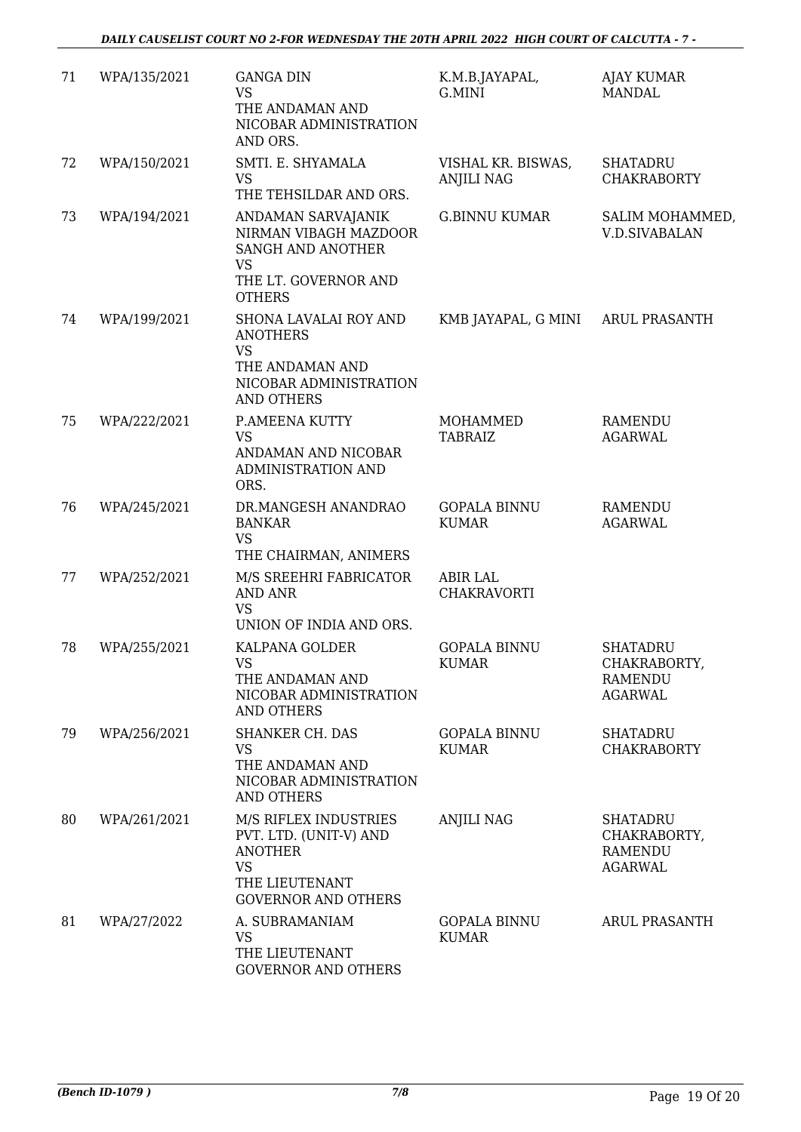| 71 | WPA/135/2021 | <b>GANGA DIN</b><br><b>VS</b><br>THE ANDAMAN AND<br>NICOBAR ADMINISTRATION<br>AND ORS.                                         | K.M.B.JAYAPAL,<br>G.MINI                | <b>AJAY KUMAR</b><br><b>MANDAL</b>                           |
|----|--------------|--------------------------------------------------------------------------------------------------------------------------------|-----------------------------------------|--------------------------------------------------------------|
| 72 | WPA/150/2021 | SMTI. E. SHYAMALA<br><b>VS</b><br>THE TEHSILDAR AND ORS.                                                                       | VISHAL KR. BISWAS,<br><b>ANJILI NAG</b> | <b>SHATADRU</b><br><b>CHAKRABORTY</b>                        |
| 73 | WPA/194/2021 | ANDAMAN SARVAJANIK<br>NIRMAN VIBAGH MAZDOOR<br><b>SANGH AND ANOTHER</b><br><b>VS</b><br>THE LT. GOVERNOR AND<br><b>OTHERS</b>  | <b>G.BINNU KUMAR</b>                    | SALIM MOHAMMED,<br><b>V.D.SIVABALAN</b>                      |
| 74 | WPA/199/2021 | SHONA LAVALAI ROY AND<br><b>ANOTHERS</b><br><b>VS</b><br>THE ANDAMAN AND<br>NICOBAR ADMINISTRATION<br><b>AND OTHERS</b>        | KMB JAYAPAL, G MINI                     | ARUL PRASANTH                                                |
| 75 | WPA/222/2021 | P.AMEENA KUTTY<br><b>VS</b><br>ANDAMAN AND NICOBAR<br>ADMINISTRATION AND<br>ORS.                                               | MOHAMMED<br><b>TABRAIZ</b>              | <b>RAMENDU</b><br><b>AGARWAL</b>                             |
| 76 | WPA/245/2021 | DR.MANGESH ANANDRAO<br><b>BANKAR</b><br><b>VS</b><br>THE CHAIRMAN, ANIMERS                                                     | <b>GOPALA BINNU</b><br><b>KUMAR</b>     | <b>RAMENDU</b><br><b>AGARWAL</b>                             |
| 77 | WPA/252/2021 | M/S SREEHRI FABRICATOR<br><b>AND ANR</b><br><b>VS</b><br>UNION OF INDIA AND ORS.                                               | <b>ABIR LAL</b><br><b>CHAKRAVORTI</b>   |                                                              |
| 78 | WPA/255/2021 | KALPANA GOLDER<br>VS.<br>THE ANDAMAN AND<br>NICOBAR ADMINISTRATION<br><b>AND OTHERS</b>                                        | <b>GOPALA BINNU</b><br><b>KUMAR</b>     | <b>SHATADRU</b><br>CHAKRABORTY,<br>RAMENDU<br><b>AGARWAL</b> |
| 79 | WPA/256/2021 | <b>SHANKER CH. DAS</b><br><b>VS</b><br>THE ANDAMAN AND<br>NICOBAR ADMINISTRATION<br><b>AND OTHERS</b>                          | <b>GOPALA BINNU</b><br><b>KUMAR</b>     | <b>SHATADRU</b><br><b>CHAKRABORTY</b>                        |
| 80 | WPA/261/2021 | M/S RIFLEX INDUSTRIES<br>PVT. LTD. (UNIT-V) AND<br><b>ANOTHER</b><br><b>VS</b><br>THE LIEUTENANT<br><b>GOVERNOR AND OTHERS</b> | <b>ANJILI NAG</b>                       | <b>SHATADRU</b><br>CHAKRABORTY,<br>RAMENDU<br><b>AGARWAL</b> |
| 81 | WPA/27/2022  | A. SUBRAMANIAM<br><b>VS</b><br>THE LIEUTENANT<br><b>GOVERNOR AND OTHERS</b>                                                    | <b>GOPALA BINNU</b><br><b>KUMAR</b>     | <b>ARUL PRASANTH</b>                                         |